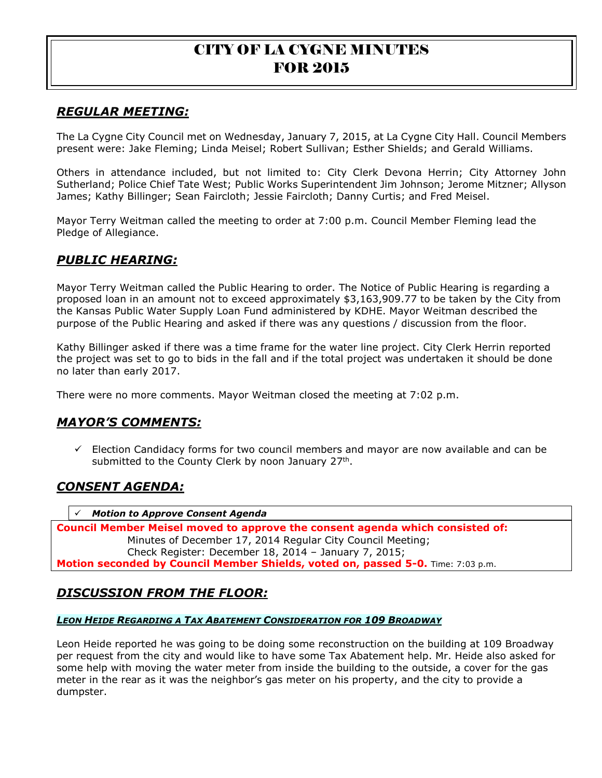# *REGULAR MEETING:*

The La Cygne City Council met on Wednesday, January 7, 2015, at La Cygne City Hall. Council Members present were: Jake Fleming; Linda Meisel; Robert Sullivan; Esther Shields; and Gerald Williams.

Others in attendance included, but not limited to: City Clerk Devona Herrin; City Attorney John Sutherland; Police Chief Tate West; Public Works Superintendent Jim Johnson; Jerome Mitzner; Allyson James; Kathy Billinger; Sean Faircloth; Jessie Faircloth; Danny Curtis; and Fred Meisel.

Mayor Terry Weitman called the meeting to order at 7:00 p.m. Council Member Fleming lead the Pledge of Allegiance.

## *PUBLIC HEARING:*

Mayor Terry Weitman called the Public Hearing to order. The Notice of Public Hearing is regarding a proposed loan in an amount not to exceed approximately \$3,163,909.77 to be taken by the City from the Kansas Public Water Supply Loan Fund administered by KDHE. Mayor Weitman described the purpose of the Public Hearing and asked if there was any questions / discussion from the floor.

Kathy Billinger asked if there was a time frame for the water line project. City Clerk Herrin reported the project was set to go to bids in the fall and if the total project was undertaken it should be done no later than early 2017.

There were no more comments. Mayor Weitman closed the meeting at 7:02 p.m.

## *MAYOR'S COMMENTS:*

 $\checkmark$  Election Candidacy forms for two council members and mayor are now available and can be submitted to the County Clerk by noon January 27<sup>th</sup>.

# *CONSENT AGENDA:*

*Motion to Approve Consent Agenda*

**Council Member Meisel moved to approve the consent agenda which consisted of:** Minutes of December 17, 2014 Regular City Council Meeting; Check Register: December 18, 2014 – January 7, 2015; **Motion seconded by Council Member Shields, voted on, passed 5-0.** Time: 7:03 p.m.

# *DISCUSSION FROM THE FLOOR:*

#### *LEON HEIDE REGARDING A TAX ABATEMENT CONSIDERATION FOR 109 BROADWAY*

Leon Heide reported he was going to be doing some reconstruction on the building at 109 Broadway per request from the city and would like to have some Tax Abatement help. Mr. Heide also asked for some help with moving the water meter from inside the building to the outside, a cover for the gas meter in the rear as it was the neighbor's gas meter on his property, and the city to provide a dumpster.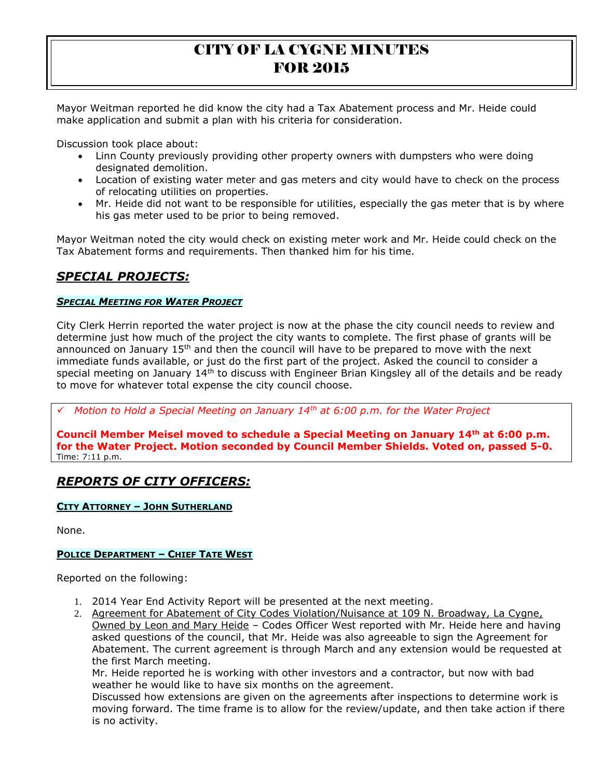Mayor Weitman reported he did know the city had a Tax Abatement process and Mr. Heide could make application and submit a plan with his criteria for consideration.

Discussion took place about:

- Linn County previously providing other property owners with dumpsters who were doing designated demolition.
- Location of existing water meter and gas meters and city would have to check on the process of relocating utilities on properties.
- Mr. Heide did not want to be responsible for utilities, especially the gas meter that is by where his gas meter used to be prior to being removed.

Mayor Weitman noted the city would check on existing meter work and Mr. Heide could check on the Tax Abatement forms and requirements. Then thanked him for his time.

# *SPECIAL PROJECTS:*

### *SPECIAL MEETING FOR WATER PROJECT*

City Clerk Herrin reported the water project is now at the phase the city council needs to review and determine just how much of the project the city wants to complete. The first phase of grants will be announced on January  $15<sup>th</sup>$  and then the council will have to be prepared to move with the next immediate funds available, or just do the first part of the project. Asked the council to consider a special meeting on January 14<sup>th</sup> to discuss with Engineer Brian Kingsley all of the details and be ready to move for whatever total expense the city council choose.

*Motion to Hold a Special Meeting on January 14th at 6:00 p.m. for the Water Project*

**Council Member Meisel moved to schedule a Special Meeting on January 14th at 6:00 p.m. for the Water Project. Motion seconded by Council Member Shields. Voted on, passed 5-0.**  Time: 7:11 p.m.

# *REPORTS OF CITY OFFICERS:*

#### **CITY ATTORNEY – JOHN SUTHERLAND**

None.

### **POLICE DEPARTMENT – CHIEF TATE WEST**

Reported on the following:

- 1. 2014 Year End Activity Report will be presented at the next meeting.
- 2. Agreement for Abatement of City Codes Violation/Nuisance at 109 N. Broadway, La Cygne, Owned by Leon and Mary Heide – Codes Officer West reported with Mr. Heide here and having asked questions of the council, that Mr. Heide was also agreeable to sign the Agreement for Abatement. The current agreement is through March and any extension would be requested at the first March meeting.

Mr. Heide reported he is working with other investors and a contractor, but now with bad weather he would like to have six months on the agreement.

Discussed how extensions are given on the agreements after inspections to determine work is moving forward. The time frame is to allow for the review/update, and then take action if there is no activity.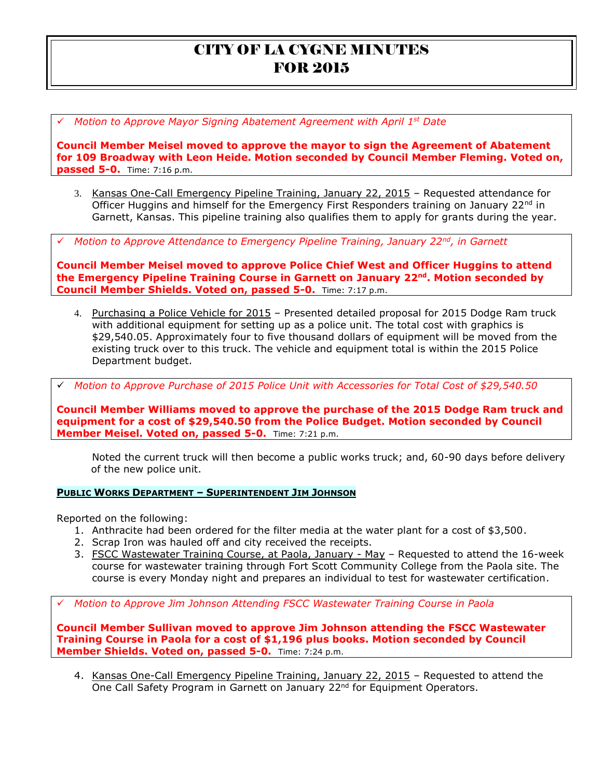*Motion to Approve Mayor Signing Abatement Agreement with April 1st Date* 

**Council Member Meisel moved to approve the mayor to sign the Agreement of Abatement for 109 Broadway with Leon Heide. Motion seconded by Council Member Fleming. Voted on, passed 5-0.** Time: 7:16 p.m.

- 3. Kansas One-Call Emergency Pipeline Training, January 22, 2015 Requested attendance for Officer Huggins and himself for the Emergency First Responders training on January  $22^{nd}$  in Garnett, Kansas. This pipeline training also qualifies them to apply for grants during the year.
- *Motion to Approve Attendance to Emergency Pipeline Training, January 22nd, in Garnett*

**Council Member Meisel moved to approve Police Chief West and Officer Huggins to attend the Emergency Pipeline Training Course in Garnett on January 22nd . Motion seconded by Council Member Shields. Voted on, passed 5-0.** Time: 7:17 p.m.

4. Purchasing a Police Vehicle for 2015 – Presented detailed proposal for 2015 Dodge Ram truck with additional equipment for setting up as a police unit. The total cost with graphics is \$29,540.05. Approximately four to five thousand dollars of equipment will be moved from the existing truck over to this truck. The vehicle and equipment total is within the 2015 Police Department budget.

*Motion to Approve Purchase of 2015 Police Unit with Accessories for Total Cost of \$29,540.50*

**Council Member Williams moved to approve the purchase of the 2015 Dodge Ram truck and equipment for a cost of \$29,540.50 from the Police Budget. Motion seconded by Council Member Meisel. Voted on, passed 5-0.** Time: 7:21 p.m.

Noted the current truck will then become a public works truck; and, 60-90 days before delivery of the new police unit.

#### **PUBLIC WORKS DEPARTMENT – SUPERINTENDENT JIM JOHNSON**

Reported on the following:

- 1. Anthracite had been ordered for the filter media at the water plant for a cost of \$3,500.
- 2. Scrap Iron was hauled off and city received the receipts.
- 3. FSCC Wastewater Training Course, at Paola, January May Requested to attend the 16-week course for wastewater training through Fort Scott Community College from the Paola site. The course is every Monday night and prepares an individual to test for wastewater certification.

*Motion to Approve Jim Johnson Attending FSCC Wastewater Training Course in Paola*

**Council Member Sullivan moved to approve Jim Johnson attending the FSCC Wastewater Training Course in Paola for a cost of \$1,196 plus books. Motion seconded by Council Member Shields. Voted on, passed 5-0.** Time: 7:24 p.m.

4. Kansas One-Call Emergency Pipeline Training, January 22, 2015 – Requested to attend the One Call Safety Program in Garnett on January 22<sup>nd</sup> for Equipment Operators.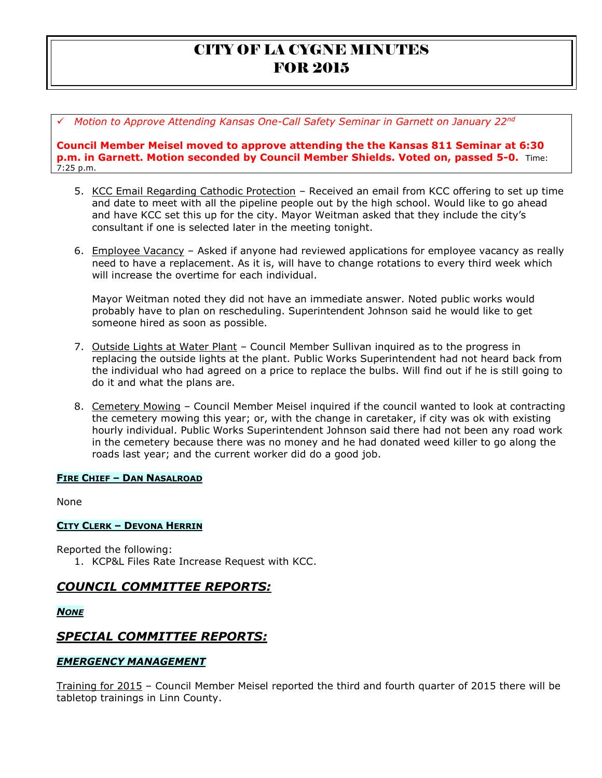*Motion to Approve Attending Kansas One-Call Safety Seminar in Garnett on January 22nd* 

**Council Member Meisel moved to approve attending the the Kansas 811 Seminar at 6:30 p.m. in Garnett. Motion seconded by Council Member Shields. Voted on, passed 5-0.** Time: 7:25 p.m.

- 5. KCC Email Regarding Cathodic Protection Received an email from KCC offering to set up time and date to meet with all the pipeline people out by the high school. Would like to go ahead and have KCC set this up for the city. Mayor Weitman asked that they include the city's consultant if one is selected later in the meeting tonight.
- 6. Employee Vacancy Asked if anyone had reviewed applications for employee vacancy as really need to have a replacement. As it is, will have to change rotations to every third week which will increase the overtime for each individual.

Mayor Weitman noted they did not have an immediate answer. Noted public works would probably have to plan on rescheduling. Superintendent Johnson said he would like to get someone hired as soon as possible.

- 7. Outside Lights at Water Plant Council Member Sullivan inquired as to the progress in replacing the outside lights at the plant. Public Works Superintendent had not heard back from the individual who had agreed on a price to replace the bulbs. Will find out if he is still going to do it and what the plans are.
- 8. Cemetery Mowing Council Member Meisel inquired if the council wanted to look at contracting the cemetery mowing this year; or, with the change in caretaker, if city was ok with existing hourly individual. Public Works Superintendent Johnson said there had not been any road work in the cemetery because there was no money and he had donated weed killer to go along the roads last year; and the current worker did do a good job.

### **FIRE CHIEF – DAN NASALROAD**

None

### **CITY CLERK – DEVONA HERRIN**

Reported the following: 1. KCP&L Files Rate Increase Request with KCC.

## *COUNCIL COMMITTEE REPORTS:*

*NONE*

# *SPECIAL COMMITTEE REPORTS:*

### *EMERGENCY MANAGEMENT*

Training for 2015 - Council Member Meisel reported the third and fourth quarter of 2015 there will be tabletop trainings in Linn County.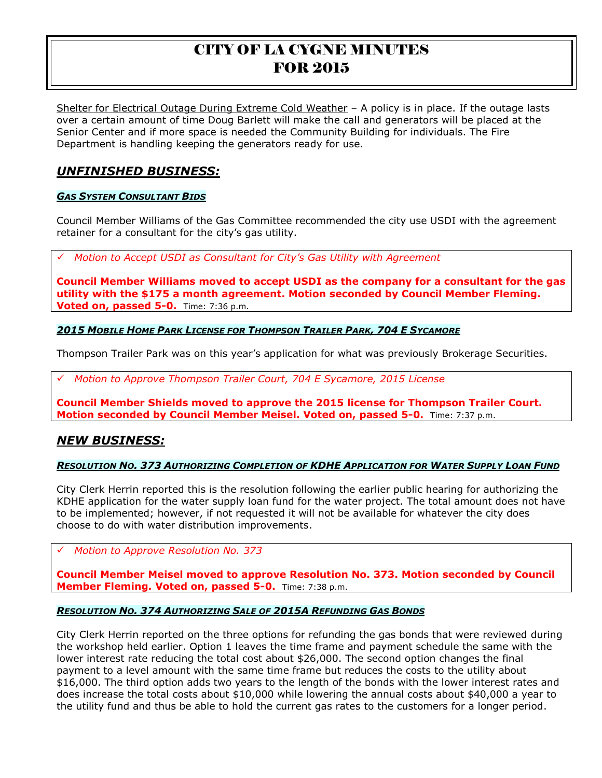Shelter for Electrical Outage During Extreme Cold Weather - A policy is in place. If the outage lasts over a certain amount of time Doug Barlett will make the call and generators will be placed at the Senior Center and if more space is needed the Community Building for individuals. The Fire Department is handling keeping the generators ready for use.

# *UNFINISHED BUSINESS:*

### *GAS SYSTEM CONSULTANT BIDS*

Council Member Williams of the Gas Committee recommended the city use USDI with the agreement retainer for a consultant for the city's gas utility.

*Motion to Accept USDI as Consultant for City's Gas Utility with Agreement*

**Council Member Williams moved to accept USDI as the company for a consultant for the gas utility with the \$175 a month agreement. Motion seconded by Council Member Fleming. Voted on, passed 5-0.** Time: 7:36 p.m.

*2015 MOBILE HOME PARK LICENSE FOR THOMPSON TRAILER PARK, 704 E SYCAMORE* 

Thompson Trailer Park was on this year's application for what was previously Brokerage Securities.

*Motion to Approve Thompson Trailer Court, 704 E Sycamore, 2015 License*

**Council Member Shields moved to approve the 2015 license for Thompson Trailer Court. Motion seconded by Council Member Meisel. Voted on, passed 5-0.** Time: 7:37 p.m.

## *NEW BUSINESS:*

#### RESOLUTION NO. 373 AUTHORIZING COMPLETION OF KDHE APPLICATION FOR WATER SUPPLY LOAN FUND

City Clerk Herrin reported this is the resolution following the earlier public hearing for authorizing the KDHE application for the water supply loan fund for the water project. The total amount does not have to be implemented; however, if not requested it will not be available for whatever the city does choose to do with water distribution improvements.

*Motion to Approve Resolution No. 373*

**Council Member Meisel moved to approve Resolution No. 373. Motion seconded by Council Member Fleming. Voted on, passed 5-0.** Time: 7:38 p.m.

### *RESOLUTION NO. 374 AUTHORIZING SALE OF 2015A REFUNDING GAS BONDS*

City Clerk Herrin reported on the three options for refunding the gas bonds that were reviewed during the workshop held earlier. Option 1 leaves the time frame and payment schedule the same with the lower interest rate reducing the total cost about \$26,000. The second option changes the final payment to a level amount with the same time frame but reduces the costs to the utility about \$16,000. The third option adds two years to the length of the bonds with the lower interest rates and does increase the total costs about \$10,000 while lowering the annual costs about \$40,000 a year to the utility fund and thus be able to hold the current gas rates to the customers for a longer period.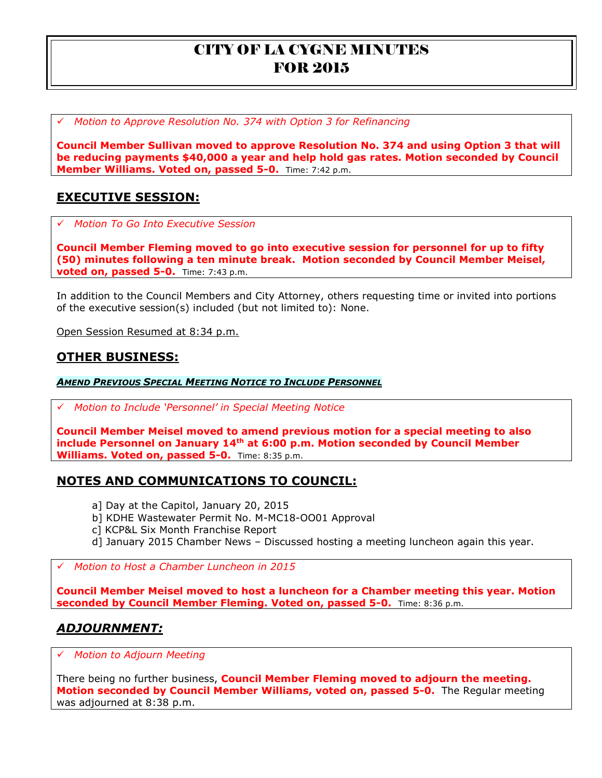*Motion to Approve Resolution No. 374 with Option 3 for Refinancing* 

**Council Member Sullivan moved to approve Resolution No. 374 and using Option 3 that will be reducing payments \$40,000 a year and help hold gas rates. Motion seconded by Council Member Williams. Voted on, passed 5-0.** Time: 7:42 p.m.

# **EXECUTIVE SESSION:**

*Motion To Go Into Executive Session*

**Council Member Fleming moved to go into executive session for personnel for up to fifty (50) minutes following a ten minute break. Motion seconded by Council Member Meisel, voted on, passed 5-0.** Time: 7:43 p.m.

In addition to the Council Members and City Attorney, others requesting time or invited into portions of the executive session(s) included (but not limited to): None.

Open Session Resumed at 8:34 p.m.

## **OTHER BUSINESS:**

*AMEND PREVIOUS SPECIAL MEETING NOTICE TO INCLUDE PERSONNEL*

*Motion to Include 'Personnel' in Special Meeting Notice*

**Council Member Meisel moved to amend previous motion for a special meeting to also include Personnel on January 14th at 6:00 p.m. Motion seconded by Council Member Williams. Voted on, passed 5-0.** Time: 8:35 p.m.

## **NOTES AND COMMUNICATIONS TO COUNCIL:**

- a] Day at the Capitol, January 20, 2015
- b] KDHE Wastewater Permit No. M-MC18-OO01 Approval
- c] KCP&L Six Month Franchise Report
- d] January 2015 Chamber News Discussed hosting a meeting luncheon again this year.

## *Motion to Host a Chamber Luncheon in 2015*

**Council Member Meisel moved to host a luncheon for a Chamber meeting this year. Motion seconded by Council Member Fleming. Voted on, passed 5-0.** Time: 8:36 p.m.

# *ADJOURNMENT:*

*Motion to Adjourn Meeting*

There being no further business, **Council Member Fleming moved to adjourn the meeting. Motion seconded by Council Member Williams, voted on, passed 5-0.** The Regular meeting was adjourned at 8:38 p.m.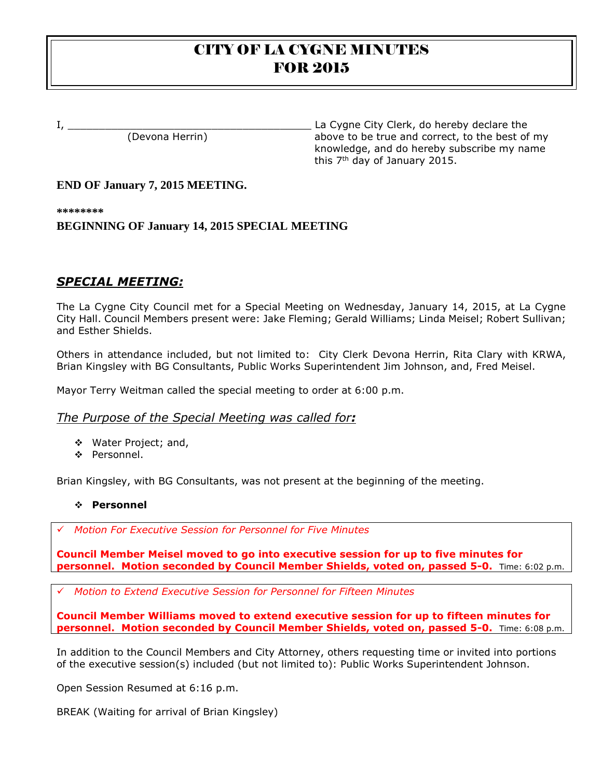I, \_\_\_\_\_\_\_\_\_\_\_\_\_\_\_\_\_\_\_\_\_\_\_\_\_\_\_\_\_\_\_\_\_\_\_\_\_\_\_ La Cygne City Clerk, do hereby declare the (Devona Herrin) above to be true and correct, to the best of my knowledge, and do hereby subscribe my name this 7<sup>th</sup> day of January 2015.

## **END OF January 7, 2015 MEETING.**

**\*\*\*\*\*\*\*\***

## **BEGINNING OF January 14, 2015 SPECIAL MEETING**

# *SPECIAL MEETING:*

The La Cygne City Council met for a Special Meeting on Wednesday, January 14, 2015, at La Cygne City Hall. Council Members present were: Jake Fleming; Gerald Williams; Linda Meisel; Robert Sullivan; and Esther Shields.

Others in attendance included, but not limited to: City Clerk Devona Herrin, Rita Clary with KRWA, Brian Kingsley with BG Consultants, Public Works Superintendent Jim Johnson, and, Fred Meisel.

Mayor Terry Weitman called the special meeting to order at 6:00 p.m.

### *The Purpose of the Special Meeting was called for:*

- Water Project; and,
- ❖ Personnel.

Brian Kingsley, with BG Consultants, was not present at the beginning of the meeting.

### **Personnel**

*Motion For Executive Session for Personnel for Five Minutes*

**Council Member Meisel moved to go into executive session for up to five minutes for personnel. Motion seconded by Council Member Shields, voted on, passed 5-0.** Time: 6:02 p.m.

*Motion to Extend Executive Session for Personnel for Fifteen Minutes*

**Council Member Williams moved to extend executive session for up to fifteen minutes for personnel. Motion seconded by Council Member Shields, voted on, passed 5-0.** Time: 6:08 p.m.

In addition to the Council Members and City Attorney, others requesting time or invited into portions of the executive session(s) included (but not limited to): Public Works Superintendent Johnson.

Open Session Resumed at 6:16 p.m.

BREAK (Waiting for arrival of Brian Kingsley)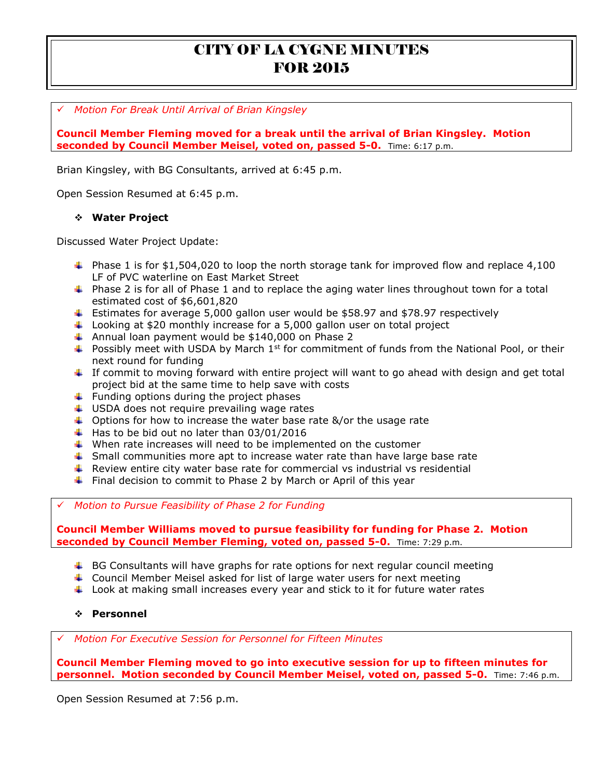*Motion For Break Until Arrival of Brian Kingsley*

**Council Member Fleming moved for a break until the arrival of Brian Kingsley. Motion seconded by Council Member Meisel, voted on, passed 5-0.** Time: 6:17 p.m.

Brian Kingsley, with BG Consultants, arrived at 6:45 p.m.

Open Session Resumed at 6:45 p.m.

#### **Water Project**

Discussed Water Project Update:

- $\uparrow$  Phase 1 is for \$1,504,020 to loop the north storage tank for improved flow and replace 4,100 LF of PVC waterline on East Market Street
- **+** Phase 2 is for all of Phase 1 and to replace the aging water lines throughout town for a total estimated cost of \$6,601,820
- Estimates for average 5,000 gallon user would be \$58.97 and \$78.97 respectively
- Looking at \$20 monthly increase for a 5,000 gallon user on total project
- $\ddot{+}$  Annual loan payment would be \$140,000 on Phase 2
- **Possibly meet with USDA by March 1st for commitment of funds from the National Pool, or their** next round for funding
- $\ddot{\phantom{1}}$  If commit to moving forward with entire project will want to go ahead with design and get total project bid at the same time to help save with costs
- $\ddot{\phantom{1}}$  Funding options during the project phases
- $\downarrow$  USDA does not require prevailing wage rates
- $\downarrow$  Options for how to increase the water base rate &/or the usage rate
- $\ddot{+}$  Has to be bid out no later than 03/01/2016
- $\ddot{\phantom{1}}$  When rate increases will need to be implemented on the customer
- $\ddot{\phantom{1}}$  Small communities more apt to increase water rate than have large base rate
- **F** Review entire city water base rate for commercial vs industrial vs residential
- $\ddotmark$  Final decision to commit to Phase 2 by March or April of this year

*Motion to Pursue Feasibility of Phase 2 for Funding*

**Council Member Williams moved to pursue feasibility for funding for Phase 2. Motion seconded by Council Member Fleming, voted on, passed 5-0.** Time: 7:29 p.m.

- $\ddot{\phantom{1}}$  BG Consultants will have graphs for rate options for next regular council meeting
- Council Member Meisel asked for list of large water users for next meeting
- $\ddot{\phantom{1}}$  Look at making small increases every year and stick to it for future water rates

#### **Personnel**

*Motion For Executive Session for Personnel for Fifteen Minutes*

**Council Member Fleming moved to go into executive session for up to fifteen minutes for personnel. Motion seconded by Council Member Meisel, voted on, passed 5-0.** Time: 7:46 p.m.

Open Session Resumed at 7:56 p.m.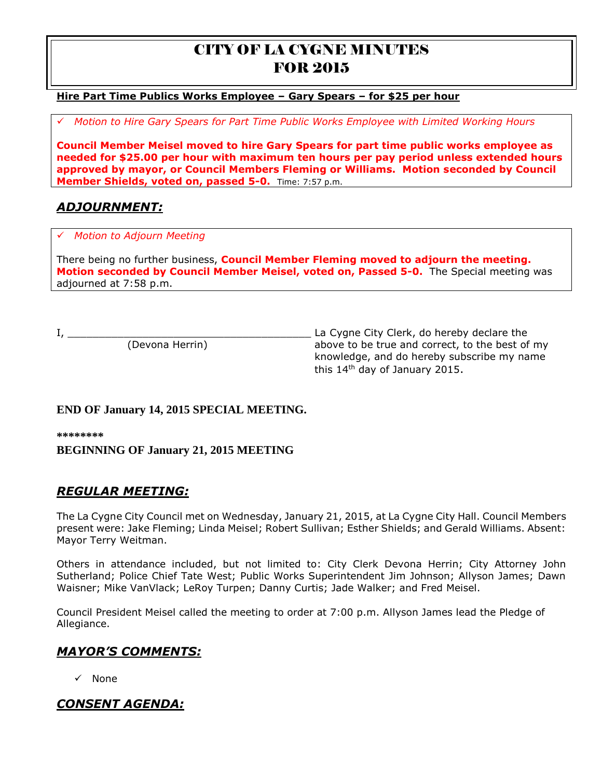#### **Hire Part Time Publics Works Employee – Gary Spears – for \$25 per hour**

*Motion to Hire Gary Spears for Part Time Public Works Employee with Limited Working Hours*

**Council Member Meisel moved to hire Gary Spears for part time public works employee as needed for \$25.00 per hour with maximum ten hours per pay period unless extended hours approved by mayor, or Council Members Fleming or Williams. Motion seconded by Council Member Shields, voted on, passed 5-0.** Time: 7:57 p.m.

# *ADJOURNMENT:*

#### *Motion to Adjourn Meeting*

There being no further business, **Council Member Fleming moved to adjourn the meeting. Motion seconded by Council Member Meisel, voted on, Passed 5-0.** The Special meeting was adjourned at 7:58 p.m.

I, \_\_\_\_\_\_\_\_\_\_\_\_\_\_\_\_\_\_\_\_\_\_\_\_\_\_\_\_\_\_\_\_\_\_\_\_\_\_\_ La Cygne City Clerk, do hereby declare the (Devona Herrin) above to be true and correct, to the best of my knowledge, and do hereby subscribe my name this 14th day of January 2015.

### **END OF January 14, 2015 SPECIAL MEETING.**

**\*\*\*\*\*\*\*\* BEGINNING OF January 21, 2015 MEETING**

## *REGULAR MEETING:*

The La Cygne City Council met on Wednesday, January 21, 2015, at La Cygne City Hall. Council Members present were: Jake Fleming; Linda Meisel; Robert Sullivan; Esther Shields; and Gerald Williams. Absent: Mayor Terry Weitman.

Others in attendance included, but not limited to: City Clerk Devona Herrin; City Attorney John Sutherland; Police Chief Tate West; Public Works Superintendent Jim Johnson; Allyson James; Dawn Waisner; Mike VanVlack; LeRoy Turpen; Danny Curtis; Jade Walker; and Fred Meisel.

Council President Meisel called the meeting to order at 7:00 p.m. Allyson James lead the Pledge of Allegiance.

### *MAYOR'S COMMENTS:*

 $\checkmark$  None

# *CONSENT AGENDA:*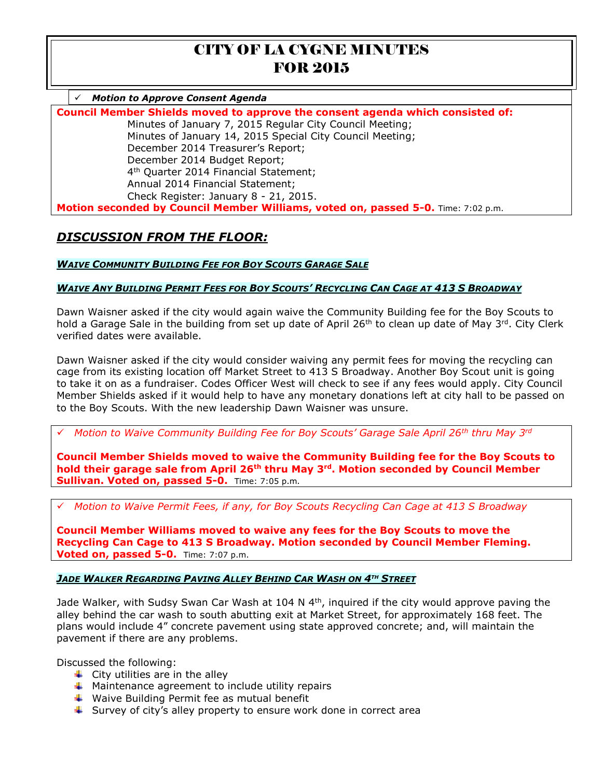*Motion to Approve Consent Agenda*

**Council Member Shields moved to approve the consent agenda which consisted of:** Minutes of January 7, 2015 Regular City Council Meeting; Minutes of January 14, 2015 Special City Council Meeting; December 2014 Treasurer's Report; December 2014 Budget Report; 4 th Quarter 2014 Financial Statement; Annual 2014 Financial Statement; Check Register: January 8 - 21, 2015. **Motion seconded by Council Member Williams, voted on, passed 5-0.** Time: 7:02 p.m.

# *DISCUSSION FROM THE FLOOR:*

*WAIVE COMMUNITY BUILDING FEE FOR BOY SCOUTS GARAGE SALE*

### **WAIVE ANY BUILDING PERMIT FEES FOR BOY SCOUTS' RECYCLING CAN CAGE AT 413 S BROADWAY**

Dawn Waisner asked if the city would again waive the Community Building fee for the Boy Scouts to hold a Garage Sale in the building from set up date of April 26<sup>th</sup> to clean up date of May 3<sup>rd</sup>. City Clerk verified dates were available.

Dawn Waisner asked if the city would consider waiving any permit fees for moving the recycling can cage from its existing location off Market Street to 413 S Broadway. Another Boy Scout unit is going to take it on as a fundraiser. Codes Officer West will check to see if any fees would apply. City Council Member Shields asked if it would help to have any monetary donations left at city hall to be passed on to the Boy Scouts. With the new leadership Dawn Waisner was unsure.

*Motion to Waive Community Building Fee for Boy Scouts' Garage Sale April 26th thru May 3rd* 

**Council Member Shields moved to waive the Community Building fee for the Boy Scouts to hold their garage sale from April 26th thru May 3rd. Motion seconded by Council Member Sullivan. Voted on, passed 5-0.** Time: 7:05 p.m.

*Motion to Waive Permit Fees, if any, for Boy Scouts Recycling Can Cage at 413 S Broadway* 

**Council Member Williams moved to waive any fees for the Boy Scouts to move the Recycling Can Cage to 413 S Broadway. Motion seconded by Council Member Fleming. Voted on, passed 5-0.** Time: 7:07 p.m.

### *JADE WALKER REGARDING PAVING ALLEY BEHIND CAR WASH ON 4TH STREET*

Jade Walker, with Sudsy Swan Car Wash at 104 N 4<sup>th</sup>, inquired if the city would approve paving the alley behind the car wash to south abutting exit at Market Street, for approximately 168 feet. The plans would include 4" concrete pavement using state approved concrete; and, will maintain the pavement if there are any problems.

Discussed the following:

- $\leftarrow$  City utilities are in the alley
- $\ddot{+}$  Maintenance agreement to include utility repairs
- $\ddot{*}$  Waive Building Permit fee as mutual benefit
- $\frac{1}{2}$  Survey of city's alley property to ensure work done in correct area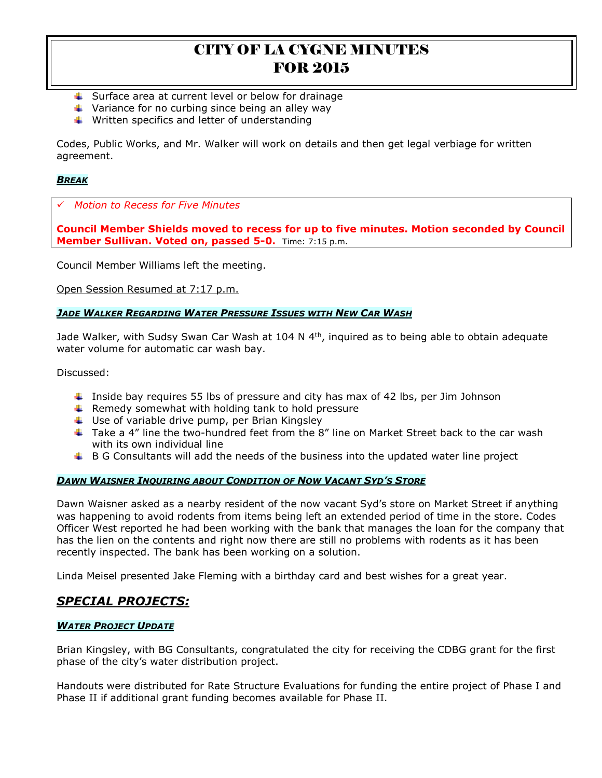- $\ddotmark$  Surface area at current level or below for drainage
- $\ddot{\phantom{1}}$  Variance for no curbing since being an alley way
- $\ddot{*}$  Written specifics and letter of understanding

Codes, Public Works, and Mr. Walker will work on details and then get legal verbiage for written agreement.

#### *BREAK*

*Motion to Recess for Five Minutes*

**Council Member Shields moved to recess for up to five minutes. Motion seconded by Council Member Sullivan. Voted on, passed 5-0.** Time: 7:15 p.m.

Council Member Williams left the meeting.

Open Session Resumed at 7:17 p.m.

#### *JADE WALKER REGARDING WATER PRESSURE ISSUES WITH NEW CAR WASH*

Jade Walker, with Sudsy Swan Car Wash at 104 N  $4<sup>th</sup>$ , inquired as to being able to obtain adequate water volume for automatic car wash bay.

Discussed:

- **I** Inside bay requires 55 lbs of pressure and city has max of 42 lbs, per Jim Johnson
- $\uparrow$  Remedy somewhat with holding tank to hold pressure
- $\downarrow$  Use of variable drive pump, per Brian Kingsley
- $\pm$  Take a 4" line the two-hundred feet from the 8" line on Market Street back to the car wash with its own individual line
- $\uparrow$  B G Consultants will add the needs of the business into the updated water line project

### *DAWN WAISNER INQUIRING ABOUT CONDITION OF NOW VACANT SYD'S STORE*

Dawn Waisner asked as a nearby resident of the now vacant Syd's store on Market Street if anything was happening to avoid rodents from items being left an extended period of time in the store. Codes Officer West reported he had been working with the bank that manages the loan for the company that has the lien on the contents and right now there are still no problems with rodents as it has been recently inspected. The bank has been working on a solution.

Linda Meisel presented Jake Fleming with a birthday card and best wishes for a great year.

## *SPECIAL PROJECTS:*

#### *WATER PROJECT UPDATE*

Brian Kingsley, with BG Consultants, congratulated the city for receiving the CDBG grant for the first phase of the city's water distribution project.

Handouts were distributed for Rate Structure Evaluations for funding the entire project of Phase I and Phase II if additional grant funding becomes available for Phase II.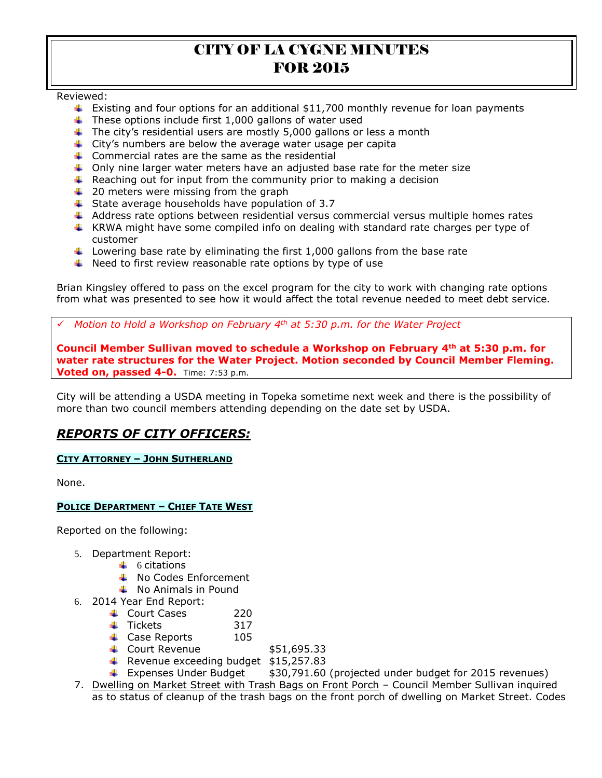Reviewed:

- **Existing and four options for an additional \$11,700 monthly revenue for loan payments**
- $\ddot{\phantom{1}}$  These options include first 1,000 gallons of water used
- $\ddot{\phantom{1}}$  The city's residential users are mostly 5,000 gallons or less a month
- $\ddot{\phantom{1}}$  City's numbers are below the average water usage per capita
- $\downarrow$  Commercial rates are the same as the residential
- $\ddot{\bullet}$  Only nine larger water meters have an adjusted base rate for the meter size
- $\ddot{+}$  Reaching out for input from the community prior to making a decision
- $\downarrow$  20 meters were missing from the graph
- $\ddot{ }$  State average households have population of 3.7
- $\uparrow$  Address rate options between residential versus commercial versus multiple homes rates
- **KRWA** might have some compiled info on dealing with standard rate charges per type of customer
- Lowering base rate by eliminating the first 1,000 gallons from the base rate
- $\ddotmark$  Need to first review reasonable rate options by type of use

Brian Kingsley offered to pass on the excel program for the city to work with changing rate options from what was presented to see how it would affect the total revenue needed to meet debt service.

*Motion to Hold a Workshop on February 4th at 5:30 p.m. for the Water Project* 

**Council Member Sullivan moved to schedule a Workshop on February 4th at 5:30 p.m. for water rate structures for the Water Project. Motion seconded by Council Member Fleming. Voted on, passed 4-0.** Time: 7:53 p.m.

City will be attending a USDA meeting in Topeka sometime next week and there is the possibility of more than two council members attending depending on the date set by USDA.

# *REPORTS OF CITY OFFICERS:*

#### **CITY ATTORNEY – JOHN SUTHERLAND**

None.

#### **POLICE DEPARTMENT – CHIEF TATE WEST**

Reported on the following:

- 5. Department Report:
	- $\downarrow$  6 citations
	- **↓** No Codes Enforcement
	- $\downarrow$  No Animals in Pound
- 6. 2014 Year End Report:
	- $\overline{\phantom{a}}$  Court Cases 220
	- $\downarrow$  Tickets 317
	- Case Reports 105
	- $\leftarrow$  Court Revenue  $$51,695.33$
	- $\textcolor{red}{\bigstar}$  Revenue exceeding budget \$15,257.83
	- **Expenses Under Budget**  $$30,791.60$  **(projected under budget for 2015 revenues)**
- 7. Dwelling on Market Street with Trash Bags on Front Porch Council Member Sullivan inquired as to status of cleanup of the trash bags on the front porch of dwelling on Market Street. Codes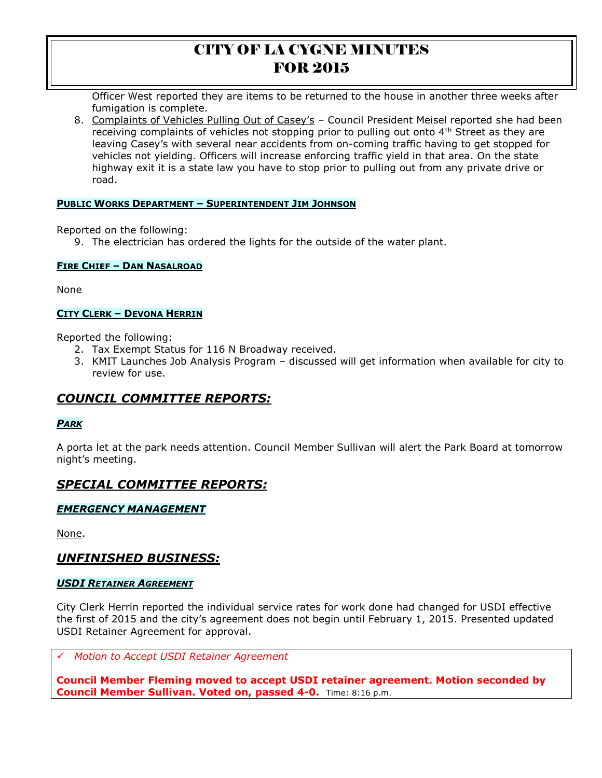Officer West reported they are items to be returned to the house in another three weeks after fumigation is complete.

8. Complaints of Vehicles Pulling Out of Casey's – Council President Meisel reported she had been receiving complaints of vehicles not stopping prior to pulling out onto 4<sup>th</sup> Street as they are leaving Casey's with several near accidents from on-coming traffic having to get stopped for vehicles not yielding. Officers will increase enforcing traffic yield in that area. On the state highway exit it is a state law you have to stop prior to pulling out from any private drive or road.

#### **PUBLIC WORKS DEPARTMENT – SUPERINTENDENT JIM JOHNSON**

Reported on the following:

9. The electrician has ordered the lights for the outside of the water plant.

#### **FIRE CHIEF – DAN NASALROAD**

None

### **CITY CLERK – DEVONA HERRIN**

Reported the following:

- 2. Tax Exempt Status for 116 N Broadway received.
- 3. KMIT Launches Job Analysis Program discussed will get information when available for city to review for use.

## *COUNCIL COMMITTEE REPORTS:*

### *PARK*

A porta let at the park needs attention. Council Member Sullivan will alert the Park Board at tomorrow night's meeting.

# *SPECIAL COMMITTEE REPORTS:*

### *EMERGENCY MANAGEMENT*

None.

## *UNFINISHED BUSINESS:*

#### *USDI RETAINER AGREEMENT*

City Clerk Herrin reported the individual service rates for work done had changed for USDI effective the first of 2015 and the city's agreement does not begin until February 1, 2015. Presented updated USDI Retainer Agreement for approval.

*Motion to Accept USDI Retainer Agreement*

**Council Member Fleming moved to accept USDI retainer agreement. Motion seconded by Council Member Sullivan. Voted on, passed 4-0.** Time: 8:16 p.m.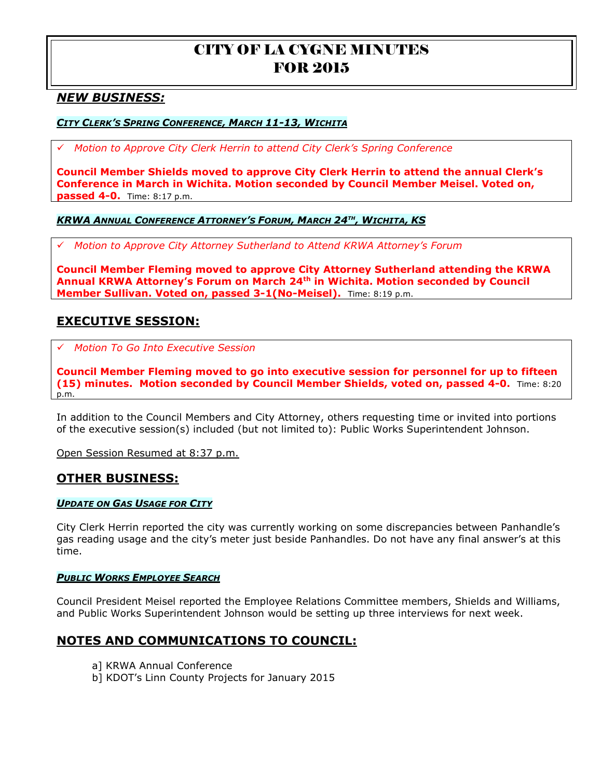## *NEW BUSINESS:*

#### *CITY CLERK'S SPRING CONFERENCE, MARCH 11-13, WICHITA*

*Motion to Approve City Clerk Herrin to attend City Clerk's Spring Conference*

**Council Member Shields moved to approve City Clerk Herrin to attend the annual Clerk's Conference in March in Wichita. Motion seconded by Council Member Meisel. Voted on, passed 4-0.** Time: 8:17 p.m.

#### *KRWA ANNUAL CONFERENCE ATTORNEY'S FORUM, MARCH 24TH , WICHITA, KS*

*Motion to Approve City Attorney Sutherland to Attend KRWA Attorney's Forum* 

**Council Member Fleming moved to approve City Attorney Sutherland attending the KRWA Annual KRWA Attorney's Forum on March 24th in Wichita. Motion seconded by Council Member Sullivan. Voted on, passed 3-1(No-Meisel).** Time: 8:19 p.m.

## **EXECUTIVE SESSION:**

*Motion To Go Into Executive Session*

**Council Member Fleming moved to go into executive session for personnel for up to fifteen (15) minutes. Motion seconded by Council Member Shields, voted on, passed 4-0.** Time: 8:20 p.m.

In addition to the Council Members and City Attorney, others requesting time or invited into portions of the executive session(s) included (but not limited to): Public Works Superintendent Johnson.

Open Session Resumed at 8:37 p.m.

### **OTHER BUSINESS:**

#### *UPDATE ON GAS USAGE FOR CITY*

City Clerk Herrin reported the city was currently working on some discrepancies between Panhandle's gas reading usage and the city's meter just beside Panhandles. Do not have any final answer's at this time.

#### *PUBLIC WORKS EMPLOYEE SEARCH*

Council President Meisel reported the Employee Relations Committee members, Shields and Williams, and Public Works Superintendent Johnson would be setting up three interviews for next week.

### **NOTES AND COMMUNICATIONS TO COUNCIL:**

- a] KRWA Annual Conference
- b] KDOT's Linn County Projects for January 2015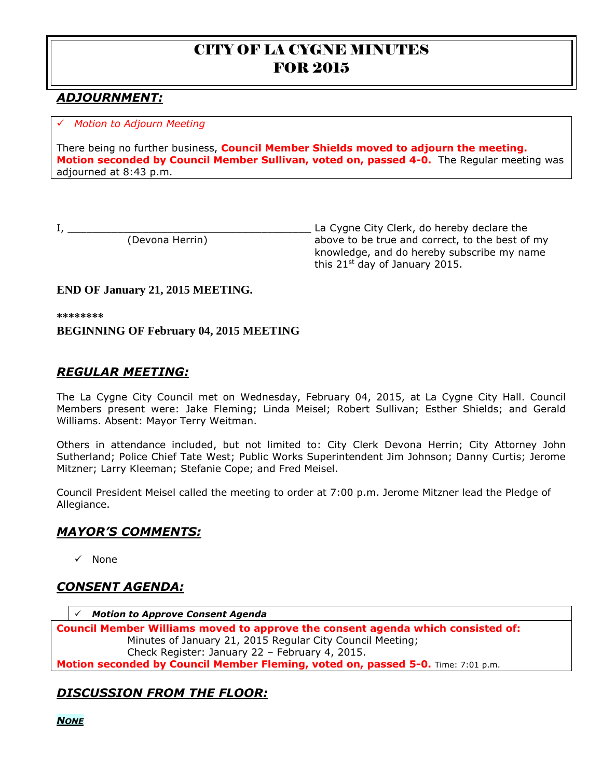# *ADJOURNMENT:*

### *Motion to Adjourn Meeting*

There being no further business, **Council Member Shields moved to adjourn the meeting. Motion seconded by Council Member Sullivan, voted on, passed 4-0.** The Regular meeting was adjourned at 8:43 p.m.

I, \_\_\_\_\_\_\_\_\_\_\_\_\_\_\_\_\_\_\_\_\_\_\_\_\_\_\_\_\_\_\_\_\_\_\_\_\_\_\_ La Cygne City Clerk, do hereby declare the above to be true and correct, to the best of my knowledge, and do hereby subscribe my name this  $21^{st}$  day of January 2015.

## **END OF January 21, 2015 MEETING.**

**\*\*\*\*\*\*\*\***

## **BEGINNING OF February 04, 2015 MEETING**

# *REGULAR MEETING:*

The La Cygne City Council met on Wednesday, February 04, 2015, at La Cygne City Hall. Council Members present were: Jake Fleming; Linda Meisel; Robert Sullivan; Esther Shields; and Gerald Williams. Absent: Mayor Terry Weitman.

Others in attendance included, but not limited to: City Clerk Devona Herrin; City Attorney John Sutherland; Police Chief Tate West; Public Works Superintendent Jim Johnson; Danny Curtis; Jerome Mitzner; Larry Kleeman; Stefanie Cope; and Fred Meisel.

Council President Meisel called the meeting to order at 7:00 p.m. Jerome Mitzner lead the Pledge of Allegiance.

## *MAYOR'S COMMENTS:*

 $\checkmark$  None

## *CONSENT AGENDA:*

*Motion to Approve Consent Agenda*

**Council Member Williams moved to approve the consent agenda which consisted of:** Minutes of January 21, 2015 Regular City Council Meeting; Check Register: January 22 – February 4, 2015. **Motion seconded by Council Member Fleming, voted on, passed 5-0.** Time: 7:01 p.m.

# *DISCUSSION FROM THE FLOOR:*

*NONE*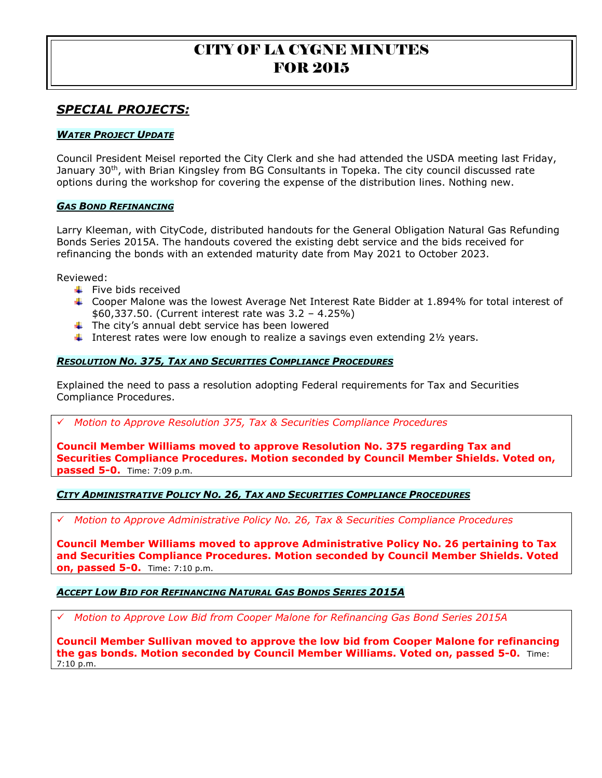## *SPECIAL PROJECTS:*

#### *WATER PROJECT UPDATE*

Council President Meisel reported the City Clerk and she had attended the USDA meeting last Friday, January 30<sup>th</sup>, with Brian Kingsley from BG Consultants in Topeka. The city council discussed rate options during the workshop for covering the expense of the distribution lines. Nothing new.

#### *GAS BOND REFINANCING*

Larry Kleeman, with CityCode, distributed handouts for the General Obligation Natural Gas Refunding Bonds Series 2015A. The handouts covered the existing debt service and the bids received for refinancing the bonds with an extended maturity date from May 2021 to October 2023.

Reviewed:

- $\ddot{\bullet}$  Five bids received
- Cooper Malone was the lowest Average Net Interest Rate Bidder at 1.894% for total interest of \$60,337.50. (Current interest rate was 3.2 – 4.25%)
- $\ddot{\phantom{1}}$  The city's annual debt service has been lowered
- Interest rates were low enough to realize a savings even extending  $2\frac{1}{2}$  years.

#### *RESOLUTION NO. 375, TAX AND SECURITIES COMPLIANCE PROCEDURES*

Explained the need to pass a resolution adopting Federal requirements for Tax and Securities Compliance Procedures.

*Motion to Approve Resolution 375, Tax & Securities Compliance Procedures* 

**Council Member Williams moved to approve Resolution No. 375 regarding Tax and Securities Compliance Procedures. Motion seconded by Council Member Shields. Voted on, passed 5-0.** Time: 7:09 p.m.

#### *CITY ADMINISTRATIVE POLICY NO. 26, TAX AND SECURITIES COMPLIANCE PROCEDURES*

*Motion to Approve Administrative Policy No. 26, Tax & Securities Compliance Procedures* 

**Council Member Williams moved to approve Administrative Policy No. 26 pertaining to Tax and Securities Compliance Procedures. Motion seconded by Council Member Shields. Voted on, passed 5-0.** Time: 7:10 p.m.

#### *ACCEPT LOW BID FOR REFINANCING NATURAL GAS BONDS SERIES 2015A*

*Motion to Approve Low Bid from Cooper Malone for Refinancing Gas Bond Series 2015A* 

**Council Member Sullivan moved to approve the low bid from Cooper Malone for refinancing the gas bonds. Motion seconded by Council Member Williams. Voted on, passed 5-0.** Time: 7:10 p.m.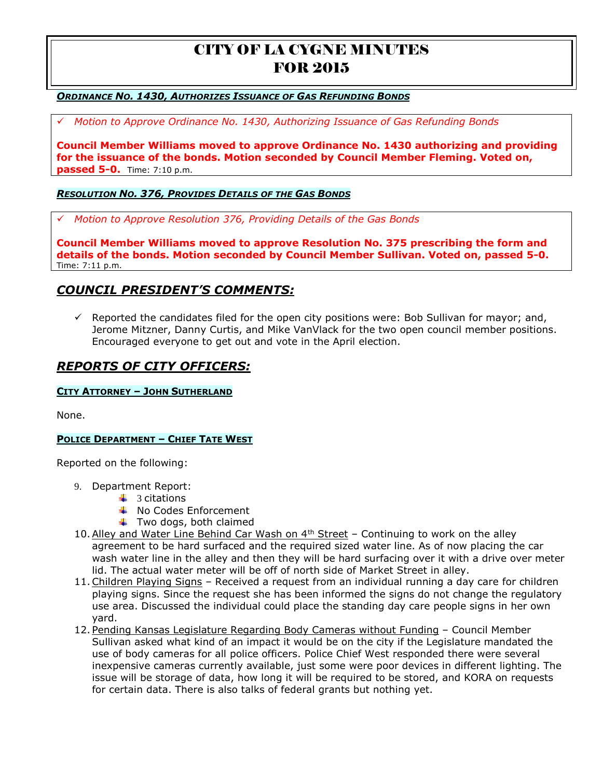#### *ORDINANCE NO. 1430, AUTHORIZES ISSUANCE OF GAS REFUNDING BONDS*

*Motion to Approve Ordinance No. 1430, Authorizing Issuance of Gas Refunding Bonds* 

**Council Member Williams moved to approve Ordinance No. 1430 authorizing and providing for the issuance of the bonds. Motion seconded by Council Member Fleming. Voted on, passed 5-0.** Time: 7:10 p.m.

#### *RESOLUTION NO. 376, PROVIDES DETAILS OF THE GAS BONDS*

*Motion to Approve Resolution 376, Providing Details of the Gas Bonds* 

**Council Member Williams moved to approve Resolution No. 375 prescribing the form and details of the bonds. Motion seconded by Council Member Sullivan. Voted on, passed 5-0.**  Time: 7:11 p.m.

## *COUNCIL PRESIDENT'S COMMENTS:*

 $\checkmark$  Reported the candidates filed for the open city positions were: Bob Sullivan for mayor; and, Jerome Mitzner, Danny Curtis, and Mike VanVlack for the two open council member positions. Encouraged everyone to get out and vote in the April election.

## *REPORTS OF CITY OFFICERS:*

#### **CITY ATTORNEY – JOHN SUTHERLAND**

None.

#### **POLICE DEPARTMENT – CHIEF TATE WEST**

Reported on the following:

- 9. Department Report:
	- $\downarrow$  3 citations
		- $\downarrow$  No Codes Enforcement
		- $\ddot{\bullet}$  Two dogs, both claimed
- 10. Alley and Water Line Behind Car Wash on  $4<sup>th</sup>$  Street Continuing to work on the alley agreement to be hard surfaced and the required sized water line. As of now placing the car wash water line in the alley and then they will be hard surfacing over it with a drive over meter lid. The actual water meter will be off of north side of Market Street in alley.
- 11.Children Playing Signs Received a request from an individual running a day care for children playing signs. Since the request she has been informed the signs do not change the regulatory use area. Discussed the individual could place the standing day care people signs in her own yard.
- 12. Pending Kansas Legislature Regarding Body Cameras without Funding Council Member Sullivan asked what kind of an impact it would be on the city if the Legislature mandated the use of body cameras for all police officers. Police Chief West responded there were several inexpensive cameras currently available, just some were poor devices in different lighting. The issue will be storage of data, how long it will be required to be stored, and KORA on requests for certain data. There is also talks of federal grants but nothing yet.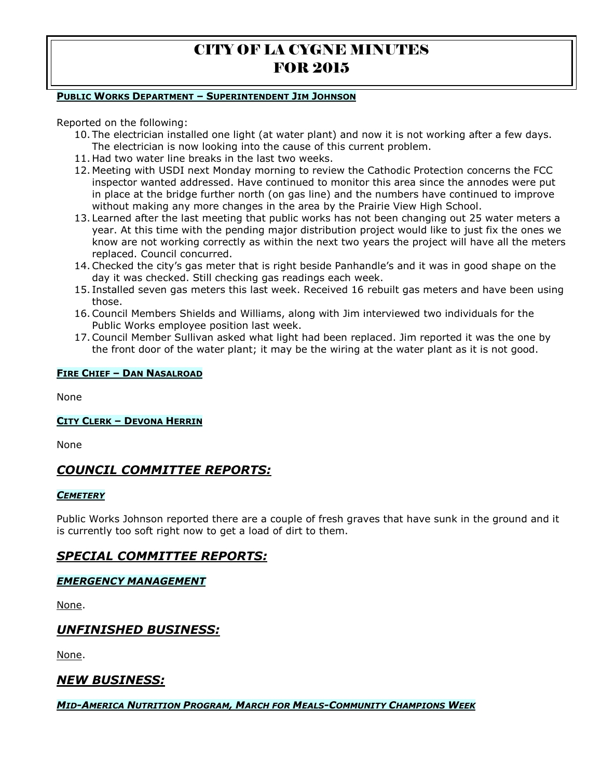#### **PUBLIC WORKS DEPARTMENT – SUPERINTENDENT JIM JOHNSON**

Reported on the following:

- 10. The electrician installed one light (at water plant) and now it is not working after a few days. The electrician is now looking into the cause of this current problem.
- 11. Had two water line breaks in the last two weeks.
- 12. Meeting with USDI next Monday morning to review the Cathodic Protection concerns the FCC inspector wanted addressed. Have continued to monitor this area since the annodes were put in place at the bridge further north (on gas line) and the numbers have continued to improve without making any more changes in the area by the Prairie View High School.
- 13. Learned after the last meeting that public works has not been changing out 25 water meters a year. At this time with the pending major distribution project would like to just fix the ones we know are not working correctly as within the next two years the project will have all the meters replaced. Council concurred.
- 14.Checked the city's gas meter that is right beside Panhandle's and it was in good shape on the day it was checked. Still checking gas readings each week.
- 15. Installed seven gas meters this last week. Received 16 rebuilt gas meters and have been using those.
- 16.Council Members Shields and Williams, along with Jim interviewed two individuals for the Public Works employee position last week.
- 17.Council Member Sullivan asked what light had been replaced. Jim reported it was the one by the front door of the water plant; it may be the wiring at the water plant as it is not good.

#### **FIRE CHIEF – DAN NASALROAD**

None

#### **CITY CLERK – DEVONA HERRIN**

None

## *COUNCIL COMMITTEE REPORTS:*

#### *CEMETERY*

Public Works Johnson reported there are a couple of fresh graves that have sunk in the ground and it is currently too soft right now to get a load of dirt to them.

# *SPECIAL COMMITTEE REPORTS:*

### *EMERGENCY MANAGEMENT*

None.

## *UNFINISHED BUSINESS:*

None.

## *NEW BUSINESS:*

#### *MID-AMERICA NUTRITION PROGRAM, MARCH FOR MEALS-COMMUNITY CHAMPIONS WEEK*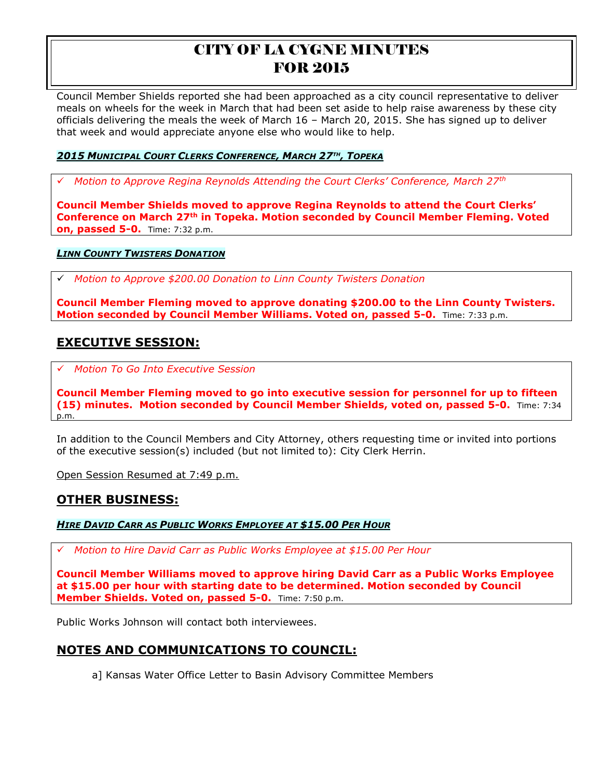Council Member Shields reported she had been approached as a city council representative to deliver meals on wheels for the week in March that had been set aside to help raise awareness by these city officials delivering the meals the week of March 16 – March 20, 2015. She has signed up to deliver that week and would appreciate anyone else who would like to help.

### *2015 MUNICIPAL COURT CLERKS CONFERENCE, MARCH 27TH , TOPEKA*

*Motion to Approve Regina Reynolds Attending the Court Clerks' Conference, March 27th*

**Council Member Shields moved to approve Regina Reynolds to attend the Court Clerks' Conference on March 27th in Topeka. Motion seconded by Council Member Fleming. Voted on, passed 5-0.** Time: 7:32 p.m.

#### *LINN COUNTY TWISTERS DONATION*

*Motion to Approve \$200.00 Donation to Linn County Twisters Donation*

**Council Member Fleming moved to approve donating \$200.00 to the Linn County Twisters. Motion seconded by Council Member Williams. Voted on, passed 5-0.** Time: 7:33 p.m.

## **EXECUTIVE SESSION:**

*Motion To Go Into Executive Session*

**Council Member Fleming moved to go into executive session for personnel for up to fifteen (15) minutes. Motion seconded by Council Member Shields, voted on, passed 5-0.** Time: 7:34 p.m.

In addition to the Council Members and City Attorney, others requesting time or invited into portions of the executive session(s) included (but not limited to): City Clerk Herrin.

Open Session Resumed at 7:49 p.m.

### **OTHER BUSINESS:**

#### *HIRE DAVID CARR AS PUBLIC WORKS EMPLOYEE AT \$15.00 PER HOUR*

*Motion to Hire David Carr as Public Works Employee at \$15.00 Per Hour* 

**Council Member Williams moved to approve hiring David Carr as a Public Works Employee at \$15.00 per hour with starting date to be determined. Motion seconded by Council Member Shields. Voted on, passed 5-0.** Time: 7:50 p.m.

Public Works Johnson will contact both interviewees.

# **NOTES AND COMMUNICATIONS TO COUNCIL:**

a] Kansas Water Office Letter to Basin Advisory Committee Members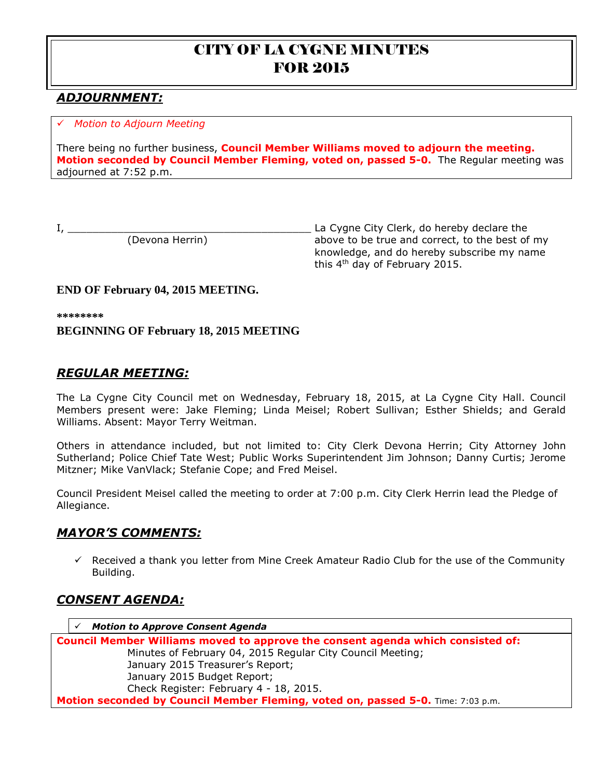# *ADJOURNMENT:*

### *Motion to Adjourn Meeting*

There being no further business, **Council Member Williams moved to adjourn the meeting. Motion seconded by Council Member Fleming, voted on, passed 5-0.** The Regular meeting was adjourned at 7:52 p.m.

I, \_\_\_\_\_\_\_\_\_\_\_\_\_\_\_\_\_\_\_\_\_\_\_\_\_\_\_\_\_\_\_\_\_\_\_\_\_\_\_ La Cygne City Clerk, do hereby declare the (Devona Herrin) above to be true and correct, to the best of my knowledge, and do hereby subscribe my name this 4<sup>th</sup> day of February 2015.

## **END OF February 04, 2015 MEETING.**

**\*\*\*\*\*\*\*\***

## **BEGINNING OF February 18, 2015 MEETING**

## *REGULAR MEETING:*

The La Cygne City Council met on Wednesday, February 18, 2015, at La Cygne City Hall. Council Members present were: Jake Fleming; Linda Meisel; Robert Sullivan; Esther Shields; and Gerald Williams. Absent: Mayor Terry Weitman.

Others in attendance included, but not limited to: City Clerk Devona Herrin; City Attorney John Sutherland; Police Chief Tate West; Public Works Superintendent Jim Johnson; Danny Curtis; Jerome Mitzner; Mike VanVlack; Stefanie Cope; and Fred Meisel.

Council President Meisel called the meeting to order at 7:00 p.m. City Clerk Herrin lead the Pledge of Allegiance.

# *MAYOR'S COMMENTS:*

 $\checkmark$  Received a thank you letter from Mine Creek Amateur Radio Club for the use of the Community Building.

## *CONSENT AGENDA:*

 *Motion to Approve Consent Agenda* **Council Member Williams moved to approve the consent agenda which consisted of:** Minutes of February 04, 2015 Regular City Council Meeting;

January 2015 Treasurer's Report; January 2015 Budget Report; Check Register: February 4 - 18, 2015. **Motion seconded by Council Member Fleming, voted on, passed 5-0.** Time: 7:03 p.m.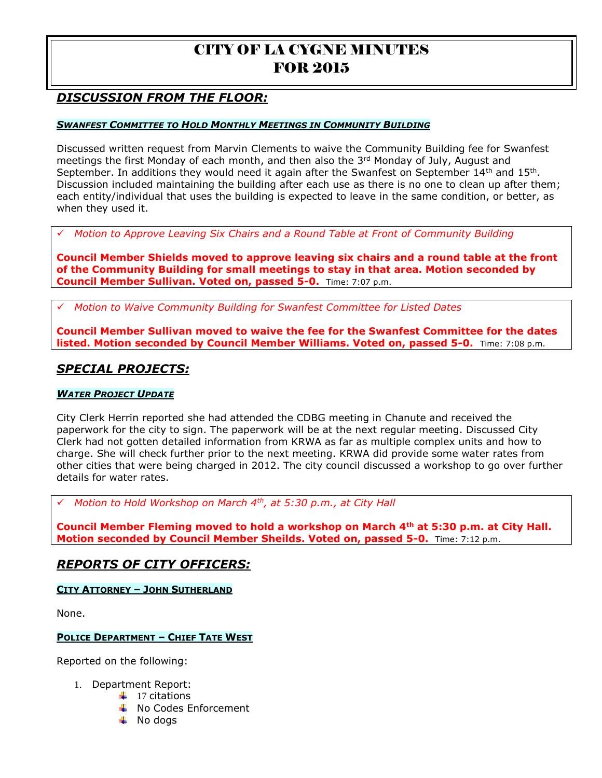# *DISCUSSION FROM THE FLOOR:*

#### *SWANFEST COMMITTEE TO HOLD MONTHLY MEETINGS IN COMMUNITY BUILDING*

Discussed written request from Marvin Clements to waive the Community Building fee for Swanfest meetings the first Monday of each month, and then also the  $3<sup>rd</sup>$  Monday of July, August and September. In additions they would need it again after the Swanfest on September  $14<sup>th</sup>$  and  $15<sup>th</sup>$ . Discussion included maintaining the building after each use as there is no one to clean up after them; each entity/individual that uses the building is expected to leave in the same condition, or better, as when they used it.

*Motion to Approve Leaving Six Chairs and a Round Table at Front of Community Building* 

**Council Member Shields moved to approve leaving six chairs and a round table at the front of the Community Building for small meetings to stay in that area. Motion seconded by Council Member Sullivan. Voted on, passed 5-0.** Time: 7:07 p.m.

*Motion to Waive Community Building for Swanfest Committee for Listed Dates* 

**Council Member Sullivan moved to waive the fee for the Swanfest Committee for the dates listed. Motion seconded by Council Member Williams. Voted on, passed 5-0.** Time: 7:08 p.m.

## *SPECIAL PROJECTS:*

#### *WATER PROJECT UPDATE*

City Clerk Herrin reported she had attended the CDBG meeting in Chanute and received the paperwork for the city to sign. The paperwork will be at the next regular meeting. Discussed City Clerk had not gotten detailed information from KRWA as far as multiple complex units and how to charge. She will check further prior to the next meeting. KRWA did provide some water rates from other cities that were being charged in 2012. The city council discussed a workshop to go over further details for water rates.

*Motion to Hold Workshop on March 4th, at 5:30 p.m., at City Hall* 

**Council Member Fleming moved to hold a workshop on March 4th at 5:30 p.m. at City Hall. Motion seconded by Council Member Sheilds. Voted on, passed 5-0.** Time: 7:12 p.m.

### *REPORTS OF CITY OFFICERS:*

#### **CITY ATTORNEY – JOHN SUTHERLAND**

None.

#### **POLICE DEPARTMENT – CHIEF TATE WEST**

Reported on the following:

- 1. Department Report:
	- $\downarrow$  17 citations
	- **↓** No Codes Enforcement
	- $\downarrow$  No dogs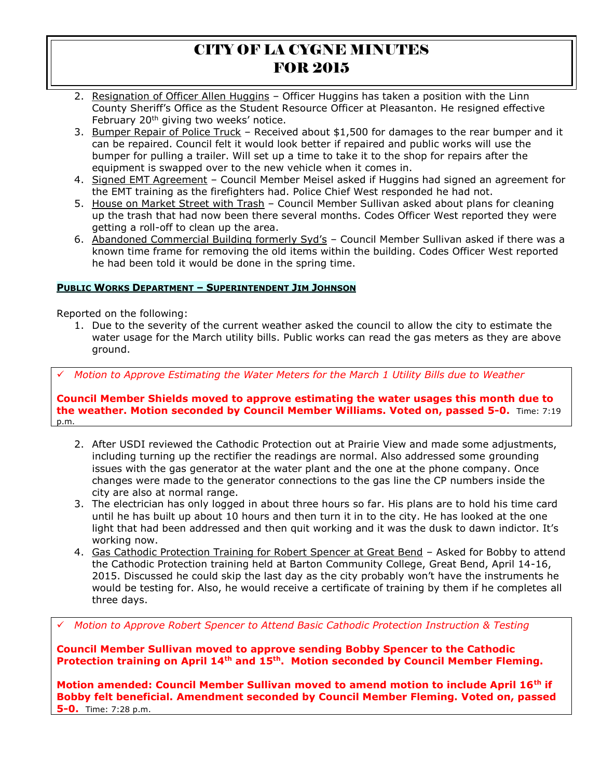- 2. Resignation of Officer Allen Huggins Officer Huggins has taken a position with the Linn County Sheriff's Office as the Student Resource Officer at Pleasanton. He resigned effective February 20<sup>th</sup> giving two weeks' notice.
- 3. Bumper Repair of Police Truck Received about \$1,500 for damages to the rear bumper and it can be repaired. Council felt it would look better if repaired and public works will use the bumper for pulling a trailer. Will set up a time to take it to the shop for repairs after the equipment is swapped over to the new vehicle when it comes in.
- 4. Signed EMT Agreement Council Member Meisel asked if Huggins had signed an agreement for the EMT training as the firefighters had. Police Chief West responded he had not.
- 5. House on Market Street with Trash Council Member Sullivan asked about plans for cleaning up the trash that had now been there several months. Codes Officer West reported they were getting a roll-off to clean up the area.
- 6. Abandoned Commercial Building formerly Syd's Council Member Sullivan asked if there was a known time frame for removing the old items within the building. Codes Officer West reported he had been told it would be done in the spring time.

### **PUBLIC WORKS DEPARTMENT – SUPERINTENDENT JIM JOHNSON**

Reported on the following:

1. Due to the severity of the current weather asked the council to allow the city to estimate the water usage for the March utility bills. Public works can read the gas meters as they are above ground.

*Motion to Approve Estimating the Water Meters for the March 1 Utility Bills due to Weather* 

**Council Member Shields moved to approve estimating the water usages this month due to the weather. Motion seconded by Council Member Williams. Voted on, passed 5-0.** Time: 7:19 p.m.

- 2. After USDI reviewed the Cathodic Protection out at Prairie View and made some adjustments, including turning up the rectifier the readings are normal. Also addressed some grounding issues with the gas generator at the water plant and the one at the phone company. Once changes were made to the generator connections to the gas line the CP numbers inside the city are also at normal range.
- 3. The electrician has only logged in about three hours so far. His plans are to hold his time card until he has built up about 10 hours and then turn it in to the city. He has looked at the one light that had been addressed and then quit working and it was the dusk to dawn indictor. It's working now.
- 4. Gas Cathodic Protection Training for Robert Spencer at Great Bend Asked for Bobby to attend the Cathodic Protection training held at Barton Community College, Great Bend, April 14-16, 2015. Discussed he could skip the last day as the city probably won't have the instruments he would be testing for. Also, he would receive a certificate of training by them if he completes all three days.

*Motion to Approve Robert Spencer to Attend Basic Cathodic Protection Instruction & Testing* 

**Council Member Sullivan moved to approve sending Bobby Spencer to the Cathodic Protection training on April 14th and 15th. Motion seconded by Council Member Fleming.**

**Motion amended: Council Member Sullivan moved to amend motion to include April 16th if Bobby felt beneficial. Amendment seconded by Council Member Fleming. Voted on, passed 5-0.** Time: 7:28 p.m.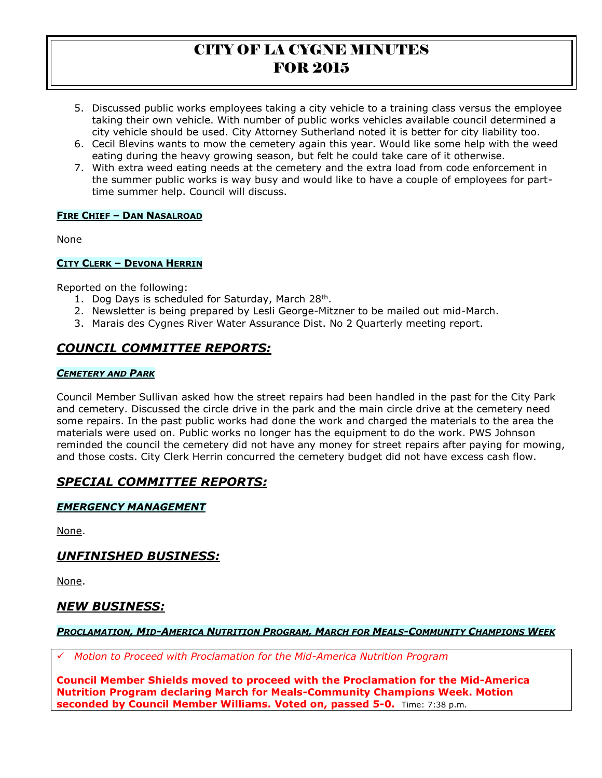- 5. Discussed public works employees taking a city vehicle to a training class versus the employee taking their own vehicle. With number of public works vehicles available council determined a city vehicle should be used. City Attorney Sutherland noted it is better for city liability too.
- 6. Cecil Blevins wants to mow the cemetery again this year. Would like some help with the weed eating during the heavy growing season, but felt he could take care of it otherwise.
- 7. With extra weed eating needs at the cemetery and the extra load from code enforcement in the summer public works is way busy and would like to have a couple of employees for parttime summer help. Council will discuss.

### **FIRE CHIEF – DAN NASALROAD**

None

### **CITY CLERK – DEVONA HERRIN**

Reported on the following:

- 1. Dog Days is scheduled for Saturday, March 28<sup>th</sup>.
- 2. Newsletter is being prepared by Lesli George-Mitzner to be mailed out mid-March.
- 3. Marais des Cygnes River Water Assurance Dist. No 2 Quarterly meeting report.

# *COUNCIL COMMITTEE REPORTS:*

### *CEMETERY AND PARK*

Council Member Sullivan asked how the street repairs had been handled in the past for the City Park and cemetery. Discussed the circle drive in the park and the main circle drive at the cemetery need some repairs. In the past public works had done the work and charged the materials to the area the materials were used on. Public works no longer has the equipment to do the work. PWS Johnson reminded the council the cemetery did not have any money for street repairs after paying for mowing, and those costs. City Clerk Herrin concurred the cemetery budget did not have excess cash flow.

# *SPECIAL COMMITTEE REPORTS:*

### *EMERGENCY MANAGEMENT*

None.

# *UNFINISHED BUSINESS:*

None.

## *NEW BUSINESS:*

### PROCLAMATION, MID-AMERICA NUTRITION PROGRAM, MARCH FOR MEALS-COMMUNITY CHAMPIONS WEEK

*Motion to Proceed with Proclamation for the Mid-America Nutrition Program* 

**Council Member Shields moved to proceed with the Proclamation for the Mid-America Nutrition Program declaring March for Meals-Community Champions Week. Motion seconded by Council Member Williams. Voted on, passed 5-0.** Time: 7:38 p.m.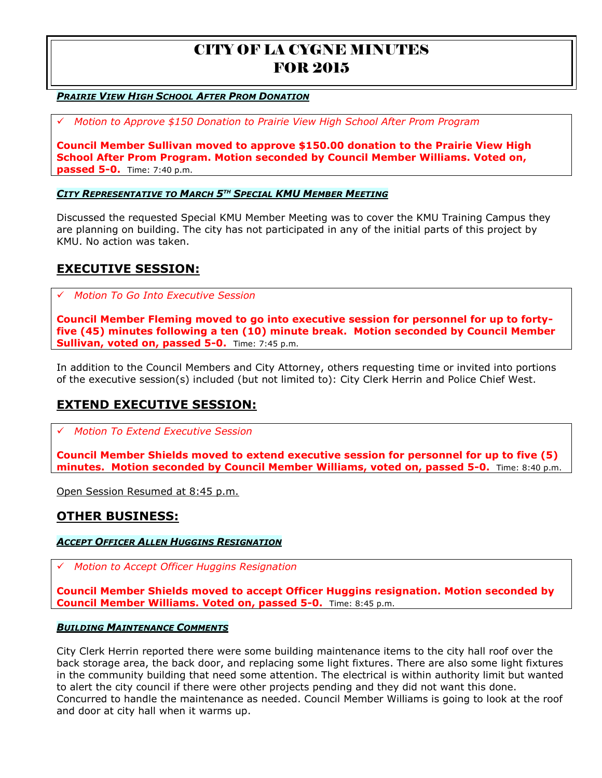#### *PRAIRIE VIEW HIGH SCHOOL AFTER PROM DONATION*

*Motion to Approve \$150 Donation to Prairie View High School After Prom Program* 

**Council Member Sullivan moved to approve \$150.00 donation to the Prairie View High School After Prom Program. Motion seconded by Council Member Williams. Voted on, passed 5-0.** Time: 7:40 p.m.

#### *CITY REPRESENTATIVE TO MARCH 5TH SPECIAL KMU MEMBER MEETING*

Discussed the requested Special KMU Member Meeting was to cover the KMU Training Campus they are planning on building. The city has not participated in any of the initial parts of this project by KMU. No action was taken.

## **EXECUTIVE SESSION:**

*Motion To Go Into Executive Session*

**Council Member Fleming moved to go into executive session for personnel for up to fortyfive (45) minutes following a ten (10) minute break. Motion seconded by Council Member Sullivan, voted on, passed 5-0.** Time: 7:45 p.m.

In addition to the Council Members and City Attorney, others requesting time or invited into portions of the executive session(s) included (but not limited to): City Clerk Herrin and Police Chief West.

# **EXTEND EXECUTIVE SESSION:**

*Motion To Extend Executive Session*

**Council Member Shields moved to extend executive session for personnel for up to five (5) minutes. Motion seconded by Council Member Williams, voted on, passed 5-0.** Time: 8:40 p.m.

Open Session Resumed at 8:45 p.m.

### **OTHER BUSINESS:**

#### *ACCEPT OFFICER ALLEN HUGGINS RESIGNATION*

*Motion to Accept Officer Huggins Resignation* 

**Council Member Shields moved to accept Officer Huggins resignation. Motion seconded by Council Member Williams. Voted on, passed 5-0.** Time: 8:45 p.m.

#### *BUILDING MAINTENANCE COMMENTS*

City Clerk Herrin reported there were some building maintenance items to the city hall roof over the back storage area, the back door, and replacing some light fixtures. There are also some light fixtures in the community building that need some attention. The electrical is within authority limit but wanted to alert the city council if there were other projects pending and they did not want this done. Concurred to handle the maintenance as needed. Council Member Williams is going to look at the roof and door at city hall when it warms up.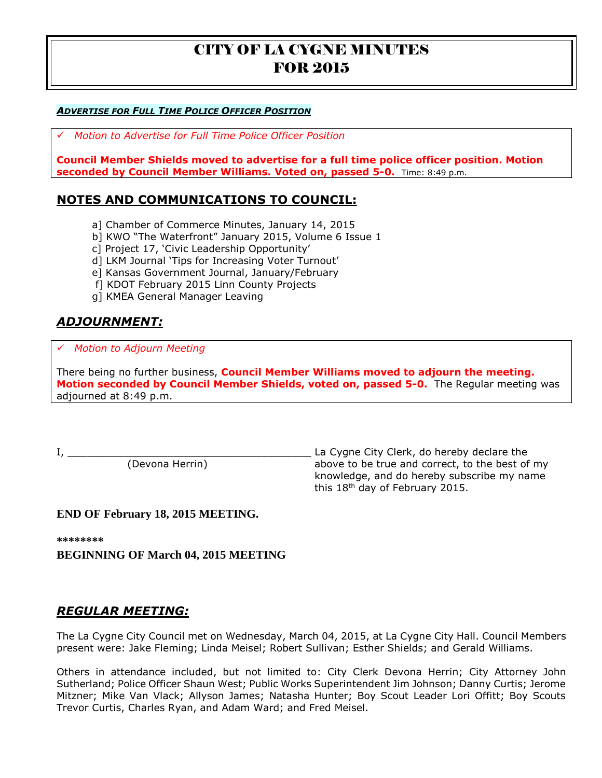### *ADVERTISE FOR FULL TIME POLICE OFFICER POSITION*

*Motion to Advertise for Full Time Police Officer Position* 

**Council Member Shields moved to advertise for a full time police officer position. Motion seconded by Council Member Williams. Voted on, passed 5-0.** Time: 8:49 p.m.

## **NOTES AND COMMUNICATIONS TO COUNCIL:**

- a] Chamber of Commerce Minutes, January 14, 2015
- b] KWO "The Waterfront" January 2015, Volume 6 Issue 1
- c] Project 17, 'Civic Leadership Opportunity'
- d] LKM Journal 'Tips for Increasing Voter Turnout'
- e] Kansas Government Journal, January/February
- f] KDOT February 2015 Linn County Projects
- g] KMEA General Manager Leaving

# *ADJOURNMENT:*

## *Motion to Adjourn Meeting*

There being no further business, **Council Member Williams moved to adjourn the meeting. Motion seconded by Council Member Shields, voted on, passed 5-0.** The Regular meeting was adjourned at 8:49 p.m.

I, \_\_\_\_\_\_\_\_\_\_\_\_\_\_\_\_\_\_\_\_\_\_\_\_\_\_\_\_\_\_\_\_\_\_\_\_\_\_\_ La Cygne City Clerk, do hereby declare the (Devona Herrin) above to be true and correct, to the best of my knowledge, and do hereby subscribe my name this  $18<sup>th</sup>$  day of February 2015.

### **END OF February 18, 2015 MEETING.**

**\*\*\*\*\*\*\*\***

**BEGINNING OF March 04, 2015 MEETING**

## *REGULAR MEETING:*

The La Cygne City Council met on Wednesday, March 04, 2015, at La Cygne City Hall. Council Members present were: Jake Fleming; Linda Meisel; Robert Sullivan; Esther Shields; and Gerald Williams.

Others in attendance included, but not limited to: City Clerk Devona Herrin; City Attorney John Sutherland; Police Officer Shaun West; Public Works Superintendent Jim Johnson; Danny Curtis; Jerome Mitzner; Mike Van Vlack; Allyson James; Natasha Hunter; Boy Scout Leader Lori Offitt; Boy Scouts Trevor Curtis, Charles Ryan, and Adam Ward; and Fred Meisel.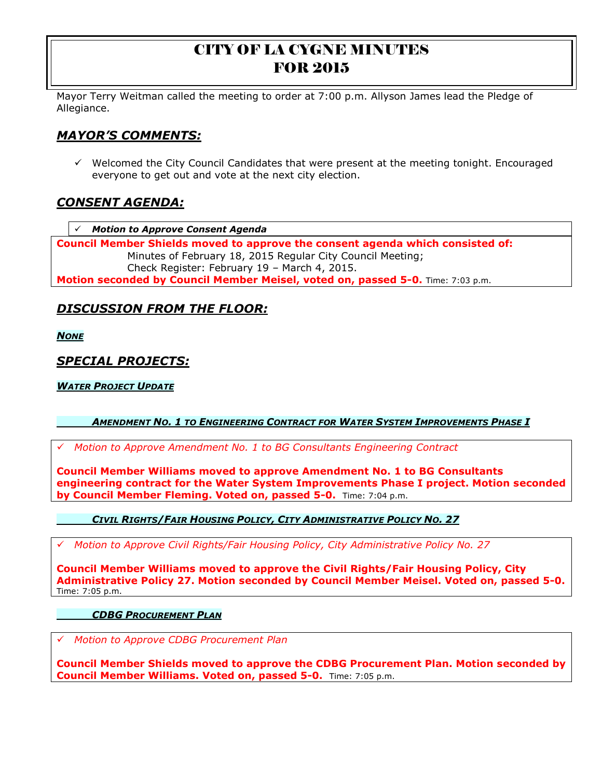Mayor Terry Weitman called the meeting to order at 7:00 p.m. Allyson James lead the Pledge of Allegiance.

# *MAYOR'S COMMENTS:*

 $\checkmark$  Welcomed the City Council Candidates that were present at the meeting tonight. Encouraged everyone to get out and vote at the next city election.

# *CONSENT AGENDA:*

*Motion to Approve Consent Agenda*

**Council Member Shields moved to approve the consent agenda which consisted of:** Minutes of February 18, 2015 Regular City Council Meeting; Check Register: February 19 – March 4, 2015. **Motion seconded by Council Member Meisel, voted on, passed 5-0.** Time: 7:03 p.m.

# *DISCUSSION FROM THE FLOOR:*

*NONE*

# *SPECIAL PROJECTS:*

*WATER PROJECT UPDATE*

### *AMENDMENT NO. 1 TO ENGINEERING CONTRACT FOR WATER SYSTEM IMPROVEMENTS PHASE I*

*Motion to Approve Amendment No. 1 to BG Consultants Engineering Contract* 

**Council Member Williams moved to approve Amendment No. 1 to BG Consultants engineering contract for the Water System Improvements Phase I project. Motion seconded by Council Member Fleming. Voted on, passed 5-0.** Time: 7:04 p.m.

### *CIVIL RIGHTS/FAIR HOUSING POLICY, CITY ADMINISTRATIVE POLICY NO. 27*

*Motion to Approve Civil Rights/Fair Housing Policy, City Administrative Policy No. 27* 

**Council Member Williams moved to approve the Civil Rights/Fair Housing Policy, City Administrative Policy 27. Motion seconded by Council Member Meisel. Voted on, passed 5-0.**  Time: 7:05 p.m.

#### *CDBG PROCUREMENT PLAN*

*Motion to Approve CDBG Procurement Plan* 

**Council Member Shields moved to approve the CDBG Procurement Plan. Motion seconded by Council Member Williams. Voted on, passed 5-0.** Time: 7:05 p.m.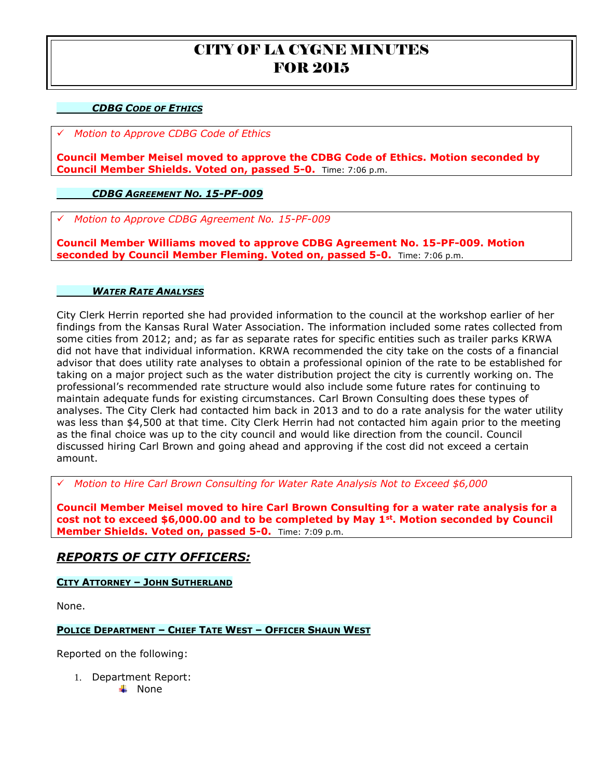### *CDBG CODE OF ETHICS*

*Motion to Approve CDBG Code of Ethics* 

**Council Member Meisel moved to approve the CDBG Code of Ethics. Motion seconded by Council Member Shields. Voted on, passed 5-0.** Time: 7:06 p.m.

#### *CDBG AGREEMENT NO. 15-PF-009*

*Motion to Approve CDBG Agreement No. 15-PF-009*

**Council Member Williams moved to approve CDBG Agreement No. 15-PF-009. Motion seconded by Council Member Fleming. Voted on, passed 5-0.** Time: 7:06 p.m.

#### *WATER RATE ANALYSES*

City Clerk Herrin reported she had provided information to the council at the workshop earlier of her findings from the Kansas Rural Water Association. The information included some rates collected from some cities from 2012; and; as far as separate rates for specific entities such as trailer parks KRWA did not have that individual information. KRWA recommended the city take on the costs of a financial advisor that does utility rate analyses to obtain a professional opinion of the rate to be established for taking on a major project such as the water distribution project the city is currently working on. The professional's recommended rate structure would also include some future rates for continuing to maintain adequate funds for existing circumstances. Carl Brown Consulting does these types of analyses. The City Clerk had contacted him back in 2013 and to do a rate analysis for the water utility was less than \$4,500 at that time. City Clerk Herrin had not contacted him again prior to the meeting as the final choice was up to the city council and would like direction from the council. Council discussed hiring Carl Brown and going ahead and approving if the cost did not exceed a certain amount.

*Motion to Hire Carl Brown Consulting for Water Rate Analysis Not to Exceed \$6,000* 

**Council Member Meisel moved to hire Carl Brown Consulting for a water rate analysis for a cost not to exceed \$6,000.00 and to be completed by May 1st. Motion seconded by Council Member Shields. Voted on, passed 5-0.** Time: 7:09 p.m.

## *REPORTS OF CITY OFFICERS:*

**CITY ATTORNEY – JOHN SUTHERLAND**

None.

#### **POLICE DEPARTMENT – CHIEF TATE WEST – OFFICER SHAUN WEST**

Reported on the following:

1. Department Report:

 $\blacksquare$  None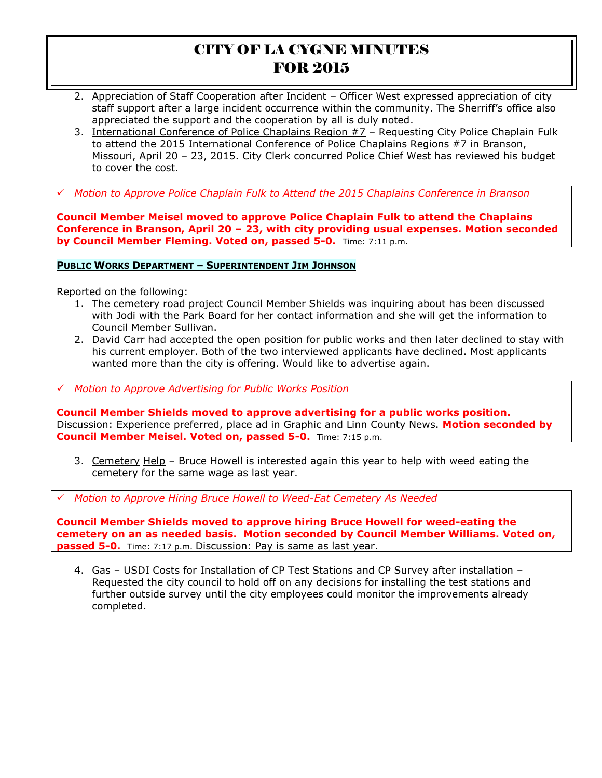- 2. Appreciation of Staff Cooperation after Incident Officer West expressed appreciation of city staff support after a large incident occurrence within the community. The Sherriff's office also appreciated the support and the cooperation by all is duly noted.
- 3. International Conference of Police Chaplains Region #7 Requesting City Police Chaplain Fulk to attend the 2015 International Conference of Police Chaplains Regions #7 in Branson, Missouri, April 20 – 23, 2015. City Clerk concurred Police Chief West has reviewed his budget to cover the cost.

*Motion to Approve Police Chaplain Fulk to Attend the 2015 Chaplains Conference in Branson* 

**Council Member Meisel moved to approve Police Chaplain Fulk to attend the Chaplains Conference in Branson, April 20 – 23, with city providing usual expenses. Motion seconded by Council Member Fleming. Voted on, passed 5-0.** Time: 7:11 p.m.

#### **PUBLIC WORKS DEPARTMENT – SUPERINTENDENT JIM JOHNSON**

Reported on the following:

- 1. The cemetery road project Council Member Shields was inquiring about has been discussed with Jodi with the Park Board for her contact information and she will get the information to Council Member Sullivan.
- 2. David Carr had accepted the open position for public works and then later declined to stay with his current employer. Both of the two interviewed applicants have declined. Most applicants wanted more than the city is offering. Would like to advertise again.

*Motion to Approve Advertising for Public Works Position* 

**Council Member Shields moved to approve advertising for a public works position.**  Discussion: Experience preferred, place ad in Graphic and Linn County News. **Motion seconded by Council Member Meisel. Voted on, passed 5-0.** Time: 7:15 p.m.

3. Cemetery Help – Bruce Howell is interested again this year to help with weed eating the cemetery for the same wage as last year.

*Motion to Approve Hiring Bruce Howell to Weed-Eat Cemetery As Needed* 

**Council Member Shields moved to approve hiring Bruce Howell for weed-eating the cemetery on an as needed basis. Motion seconded by Council Member Williams. Voted on, passed 5-0.** Time: 7:17 p.m. Discussion: Pay is same as last year.

4. Gas – USDI Costs for Installation of CP Test Stations and CP Survey after installation – Requested the city council to hold off on any decisions for installing the test stations and further outside survey until the city employees could monitor the improvements already completed.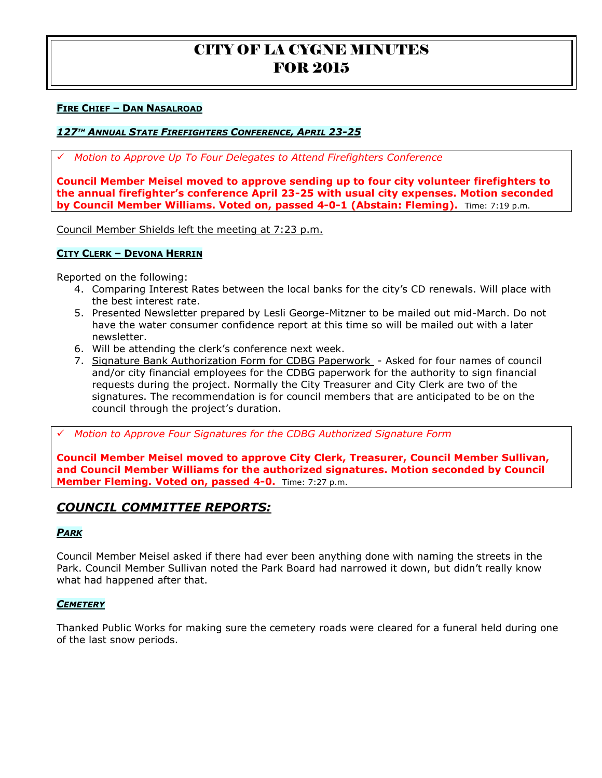#### **FIRE CHIEF – DAN NASALROAD**

#### *127TH ANNUAL STATE FIREFIGHTERS CONFERENCE, APRIL 23-25*

*Motion to Approve Up To Four Delegates to Attend Firefighters Conference* 

**Council Member Meisel moved to approve sending up to four city volunteer firefighters to the annual firefighter's conference April 23-25 with usual city expenses. Motion seconded by Council Member Williams. Voted on, passed 4-0-1 (Abstain: Fleming).** Time: 7:19 p.m.

Council Member Shields left the meeting at 7:23 p.m.

#### **CITY CLERK – DEVONA HERRIN**

Reported on the following:

- 4. Comparing Interest Rates between the local banks for the city's CD renewals. Will place with the best interest rate.
- 5. Presented Newsletter prepared by Lesli George-Mitzner to be mailed out mid-March. Do not have the water consumer confidence report at this time so will be mailed out with a later newsletter.
- 6. Will be attending the clerk's conference next week.
- 7. Signature Bank Authorization Form for CDBG Paperwork Asked for four names of council and/or city financial employees for the CDBG paperwork for the authority to sign financial requests during the project. Normally the City Treasurer and City Clerk are two of the signatures. The recommendation is for council members that are anticipated to be on the council through the project's duration.

*Motion to Approve Four Signatures for the CDBG Authorized Signature Form* 

**Council Member Meisel moved to approve City Clerk, Treasurer, Council Member Sullivan, and Council Member Williams for the authorized signatures. Motion seconded by Council Member Fleming. Voted on, passed 4-0.** Time: 7:27 p.m.

## *COUNCIL COMMITTEE REPORTS:*

#### *PARK*

Council Member Meisel asked if there had ever been anything done with naming the streets in the Park. Council Member Sullivan noted the Park Board had narrowed it down, but didn't really know what had happened after that.

#### *CEMETERY*

Thanked Public Works for making sure the cemetery roads were cleared for a funeral held during one of the last snow periods.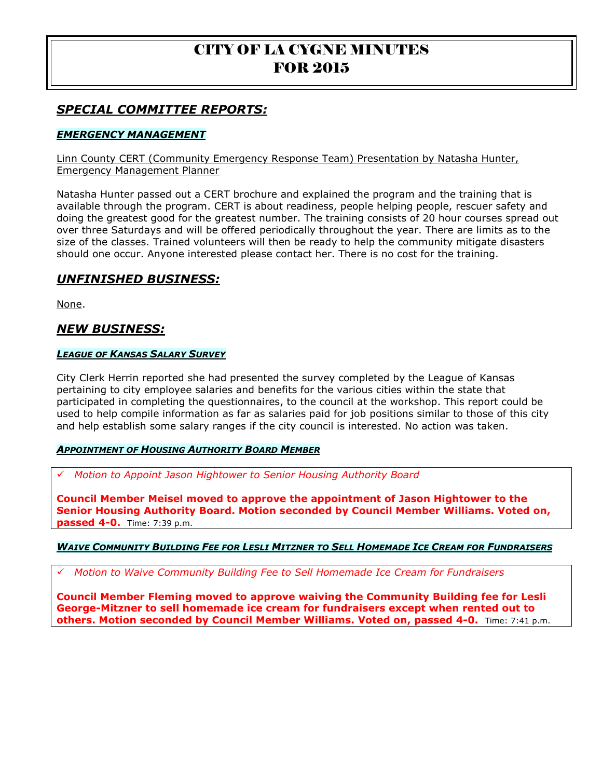# *SPECIAL COMMITTEE REPORTS:*

## *EMERGENCY MANAGEMENT*

Linn County CERT (Community Emergency Response Team) Presentation by Natasha Hunter, Emergency Management Planner

Natasha Hunter passed out a CERT brochure and explained the program and the training that is available through the program. CERT is about readiness, people helping people, rescuer safety and doing the greatest good for the greatest number. The training consists of 20 hour courses spread out over three Saturdays and will be offered periodically throughout the year. There are limits as to the size of the classes. Trained volunteers will then be ready to help the community mitigate disasters should one occur. Anyone interested please contact her. There is no cost for the training.

## *UNFINISHED BUSINESS:*

None.

## *NEW BUSINESS:*

#### *LEAGUE OF KANSAS SALARY SURVEY*

City Clerk Herrin reported she had presented the survey completed by the League of Kansas pertaining to city employee salaries and benefits for the various cities within the state that participated in completing the questionnaires, to the council at the workshop. This report could be used to help compile information as far as salaries paid for job positions similar to those of this city and help establish some salary ranges if the city council is interested. No action was taken.

#### *APPOINTMENT OF HOUSING AUTHORITY BOARD MEMBER*

*Motion to Appoint Jason Hightower to Senior Housing Authority Board* 

**Council Member Meisel moved to approve the appointment of Jason Hightower to the Senior Housing Authority Board. Motion seconded by Council Member Williams. Voted on, passed 4-0.** Time: 7:39 p.m.

#### **WAIVE COMMUNITY BUILDING FEE FOR LESLI MITZNER TO SELL HOMEMADE ICE CREAM FOR FUNDRAISERS**

*Motion to Waive Community Building Fee to Sell Homemade Ice Cream for Fundraisers* 

**Council Member Fleming moved to approve waiving the Community Building fee for Lesli George-Mitzner to sell homemade ice cream for fundraisers except when rented out to others. Motion seconded by Council Member Williams. Voted on, passed 4-0.** Time: 7:41 p.m.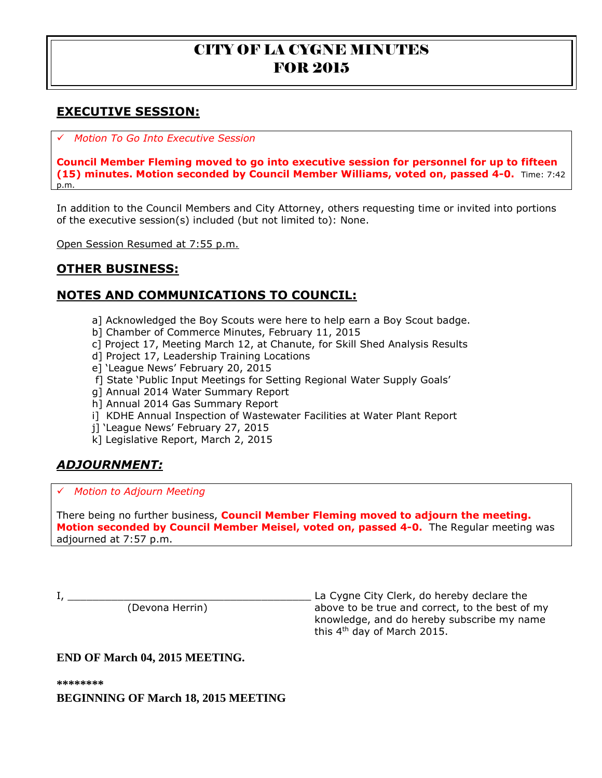# **EXECUTIVE SESSION:**

*Motion To Go Into Executive Session*

**Council Member Fleming moved to go into executive session for personnel for up to fifteen (15) minutes. Motion seconded by Council Member Williams, voted on, passed 4-0.** Time: 7:42 p.m.

In addition to the Council Members and City Attorney, others requesting time or invited into portions of the executive session(s) included (but not limited to): None.

Open Session Resumed at 7:55 p.m.

# **OTHER BUSINESS:**

# **NOTES AND COMMUNICATIONS TO COUNCIL:**

- a] Acknowledged the Boy Scouts were here to help earn a Boy Scout badge.
- b] Chamber of Commerce Minutes, February 11, 2015
- c] Project 17, Meeting March 12, at Chanute, for Skill Shed Analysis Results
- d] Project 17, Leadership Training Locations
- e] 'League News' February 20, 2015
- f] State 'Public Input Meetings for Setting Regional Water Supply Goals'
- g] Annual 2014 Water Summary Report
- h] Annual 2014 Gas Summary Report
- i] KDHE Annual Inspection of Wastewater Facilities at Water Plant Report
- j] 'League News' February 27, 2015
- k] Legislative Report, March 2, 2015

# *ADJOURNMENT:*

### *Motion to Adjourn Meeting*

There being no further business, **Council Member Fleming moved to adjourn the meeting. Motion seconded by Council Member Meisel, voted on, passed 4-0.** The Regular meeting was adjourned at 7:57 p.m.

I, \_\_\_\_\_\_\_\_\_\_\_\_\_\_\_\_\_\_\_\_\_\_\_\_\_\_\_\_\_\_\_\_\_\_\_\_\_\_\_ La Cygne City Clerk, do hereby declare the above to be true and correct, to the best of my knowledge, and do hereby subscribe my name this 4<sup>th</sup> day of March 2015.

## **END OF March 04, 2015 MEETING.**

**\*\*\*\*\*\*\*\***

**BEGINNING OF March 18, 2015 MEETING**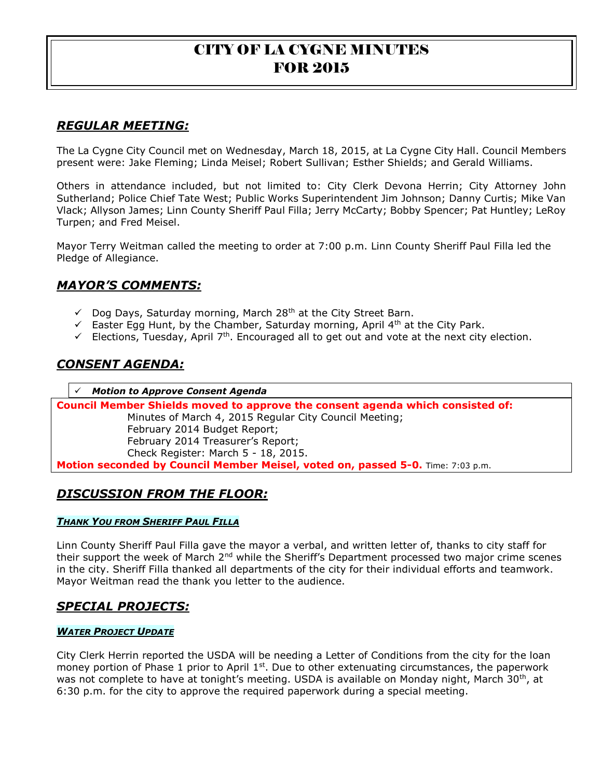# *REGULAR MEETING:*

The La Cygne City Council met on Wednesday, March 18, 2015, at La Cygne City Hall. Council Members present were: Jake Fleming; Linda Meisel; Robert Sullivan; Esther Shields; and Gerald Williams.

Others in attendance included, but not limited to: City Clerk Devona Herrin; City Attorney John Sutherland; Police Chief Tate West; Public Works Superintendent Jim Johnson; Danny Curtis; Mike Van Vlack; Allyson James; Linn County Sheriff Paul Filla; Jerry McCarty; Bobby Spencer; Pat Huntley; LeRoy Turpen; and Fred Meisel.

Mayor Terry Weitman called the meeting to order at 7:00 p.m. Linn County Sheriff Paul Filla led the Pledge of Allegiance.

# *MAYOR'S COMMENTS:*

- $\checkmark$  Dog Days, Saturday morning, March 28<sup>th</sup> at the City Street Barn.
- Easter Egg Hunt, by the Chamber, Saturday morning, April  $4<sup>th</sup>$  at the City Park.
- Elections, Tuesday, April  $7<sup>th</sup>$ . Encouraged all to get out and vote at the next city election.

# *CONSENT AGENDA:*

*Motion to Approve Consent Agenda*

**Council Member Shields moved to approve the consent agenda which consisted of:** Minutes of March 4, 2015 Regular City Council Meeting; February 2014 Budget Report; February 2014 Treasurer's Report; Check Register: March 5 - 18, 2015. **Motion seconded by Council Member Meisel, voted on, passed 5-0.** Time: 7:03 p.m.

# *DISCUSSION FROM THE FLOOR:*

#### *THANK YOU FROM SHERIFF PAUL FILLA*

Linn County Sheriff Paul Filla gave the mayor a verbal, and written letter of, thanks to city staff for their support the week of March 2<sup>nd</sup> while the Sheriff's Department processed two major crime scenes in the city. Sheriff Filla thanked all departments of the city for their individual efforts and teamwork. Mayor Weitman read the thank you letter to the audience.

# *SPECIAL PROJECTS:*

#### *WATER PROJECT UPDATE*

City Clerk Herrin reported the USDA will be needing a Letter of Conditions from the city for the loan money portion of Phase 1 prior to April  $1<sup>st</sup>$ . Due to other extenuating circumstances, the paperwork was not complete to have at tonight's meeting. USDA is available on Monday night, March 30<sup>th</sup>, at 6:30 p.m. for the city to approve the required paperwork during a special meeting.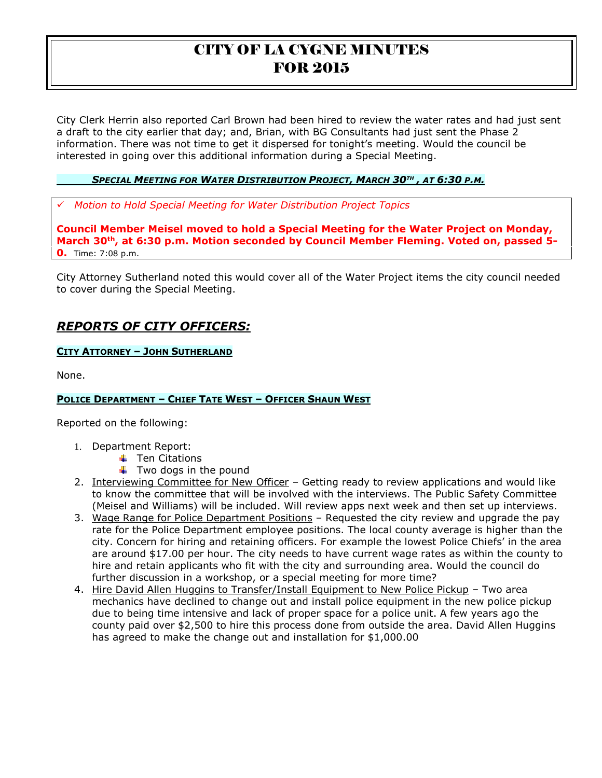City Clerk Herrin also reported Carl Brown had been hired to review the water rates and had just sent a draft to the city earlier that day; and, Brian, with BG Consultants had just sent the Phase 2 information. There was not time to get it dispersed for tonight's meeting. Would the council be interested in going over this additional information during a Special Meeting.

### <u>SPECIAL MEETING FOR WATER DISTRIBUTION PROJECT, MARCH 30™ , AT 6:30 P.M.</u>

*Motion to Hold Special Meeting for Water Distribution Project Topics* 

**Council Member Meisel moved to hold a Special Meeting for the Water Project on Monday, March 30th, at 6:30 p.m. Motion seconded by Council Member Fleming. Voted on, passed 5- 0.** Time: 7:08 p.m.

City Attorney Sutherland noted this would cover all of the Water Project items the city council needed to cover during the Special Meeting.

# *REPORTS OF CITY OFFICERS:*

### **CITY ATTORNEY – JOHN SUTHERLAND**

None.

### **POLICE DEPARTMENT – CHIEF TATE WEST – OFFICER SHAUN WEST**

Reported on the following:

- 1. Department Report:
	- $\overline{\phantom{a}}$  Ten Citations
	- $\ddot{\bullet}$  Two dogs in the pound
- 2. Interviewing Committee for New Officer Getting ready to review applications and would like to know the committee that will be involved with the interviews. The Public Safety Committee (Meisel and Williams) will be included. Will review apps next week and then set up interviews.
- 3. Wage Range for Police Department Positions Requested the city review and upgrade the pay rate for the Police Department employee positions. The local county average is higher than the city. Concern for hiring and retaining officers. For example the lowest Police Chiefs' in the area are around \$17.00 per hour. The city needs to have current wage rates as within the county to hire and retain applicants who fit with the city and surrounding area. Would the council do further discussion in a workshop, or a special meeting for more time?
- 4. Hire David Allen Huggins to Transfer/Install Equipment to New Police Pickup Two area mechanics have declined to change out and install police equipment in the new police pickup due to being time intensive and lack of proper space for a police unit. A few years ago the county paid over \$2,500 to hire this process done from outside the area. David Allen Huggins has agreed to make the change out and installation for \$1,000.00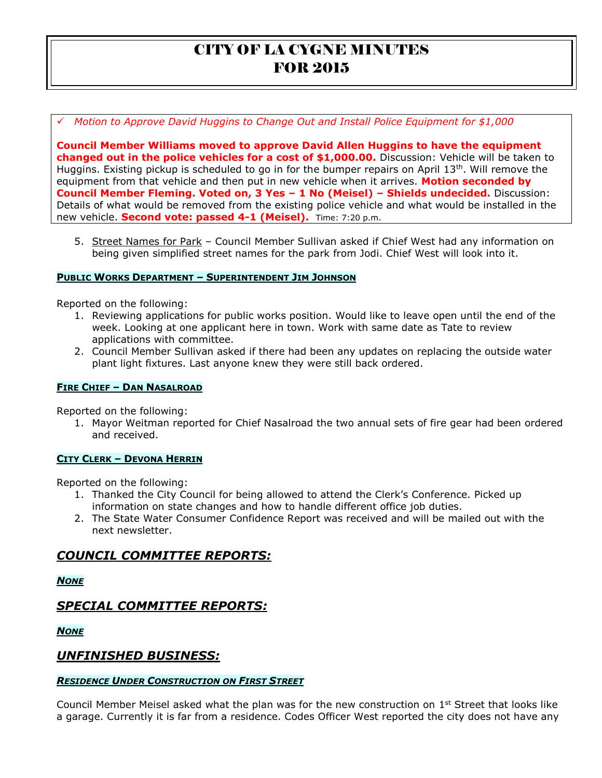*Motion to Approve David Huggins to Change Out and Install Police Equipment for \$1,000* 

**Council Member Williams moved to approve David Allen Huggins to have the equipment changed out in the police vehicles for a cost of \$1,000.00.** Discussion: Vehicle will be taken to Huggins. Existing pickup is scheduled to go in for the bumper repairs on April  $13<sup>th</sup>$ . Will remove the equipment from that vehicle and then put in new vehicle when it arrives. **Motion seconded by Council Member Fleming. Voted on, 3 Yes – 1 No (Meisel) – Shields undecided.** Discussion: Details of what would be removed from the existing police vehicle and what would be installed in the new vehicle. **Second vote: passed 4-1 (Meisel).** Time: 7:20 p.m.

5. Street Names for Park - Council Member Sullivan asked if Chief West had any information on being given simplified street names for the park from Jodi. Chief West will look into it.

#### **PUBLIC WORKS DEPARTMENT – SUPERINTENDENT JIM JOHNSON**

Reported on the following:

- 1. Reviewing applications for public works position. Would like to leave open until the end of the week. Looking at one applicant here in town. Work with same date as Tate to review applications with committee.
- 2. Council Member Sullivan asked if there had been any updates on replacing the outside water plant light fixtures. Last anyone knew they were still back ordered.

### **FIRE CHIEF – DAN NASALROAD**

Reported on the following:

1. Mayor Weitman reported for Chief Nasalroad the two annual sets of fire gear had been ordered and received.

#### **CITY CLERK – DEVONA HERRIN**

Reported on the following:

- 1. Thanked the City Council for being allowed to attend the Clerk's Conference. Picked up information on state changes and how to handle different office job duties.
- 2. The State Water Consumer Confidence Report was received and will be mailed out with the next newsletter.

# *COUNCIL COMMITTEE REPORTS:*

*NONE*

# *SPECIAL COMMITTEE REPORTS:*

*NONE*

## *UNFINISHED BUSINESS:*

#### *RESIDENCE UNDER CONSTRUCTION ON FIRST STREET*

Council Member Meisel asked what the plan was for the new construction on  $1<sup>st</sup>$  Street that looks like a garage. Currently it is far from a residence. Codes Officer West reported the city does not have any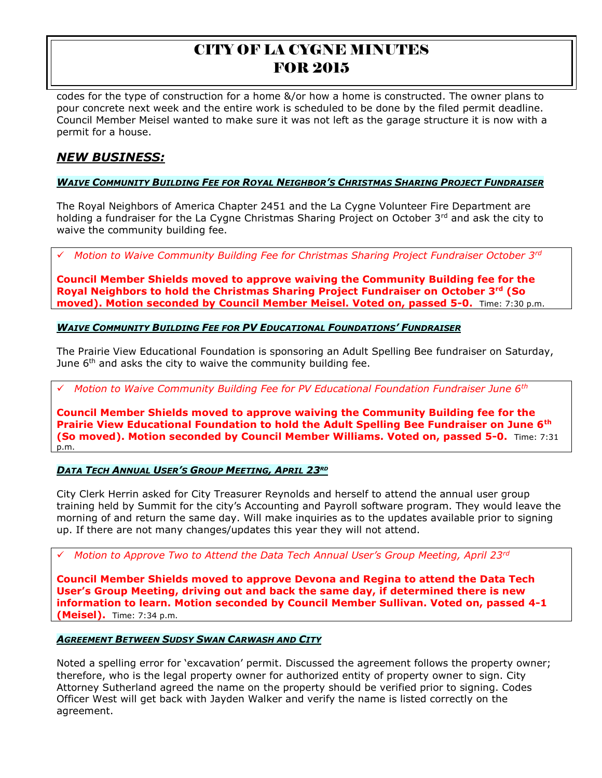codes for the type of construction for a home &/or how a home is constructed. The owner plans to pour concrete next week and the entire work is scheduled to be done by the filed permit deadline. Council Member Meisel wanted to make sure it was not left as the garage structure it is now with a permit for a house.

# *NEW BUSINESS:*

### **WAIVE COMMUNITY BUILDING FEE FOR ROYAL NEIGHBOR'S CHRISTMAS SHARING PROJECT FUNDRAISER**

The Royal Neighbors of America Chapter 2451 and the La Cygne Volunteer Fire Department are holding a fundraiser for the La Cygne Christmas Sharing Project on October  $3<sup>rd</sup>$  and ask the city to waive the community building fee.

*Motion to Waive Community Building Fee for Christmas Sharing Project Fundraiser October 3rd* 

**Council Member Shields moved to approve waiving the Community Building fee for the Royal Neighbors to hold the Christmas Sharing Project Fundraiser on October 3rd (So moved). Motion seconded by Council Member Meisel. Voted on, passed 5-0.** Time: 7:30 p.m.

### *WAIVE COMMUNITY BUILDING FEE FOR PV EDUCATIONAL FOUNDATIONS' FUNDRAISER*

The Prairie View Educational Foundation is sponsoring an Adult Spelling Bee fundraiser on Saturday, June  $6<sup>th</sup>$  and asks the city to waive the community building fee.

*Motion to Waive Community Building Fee for PV Educational Foundation Fundraiser June 6th* 

**Council Member Shields moved to approve waiving the Community Building fee for the Prairie View Educational Foundation to hold the Adult Spelling Bee Fundraiser on June 6th (So moved). Motion seconded by Council Member Williams. Voted on, passed 5-0.** Time: 7:31 p.m.

#### *DATA TECH ANNUAL USER'S GROUP MEETING, APRIL 23RD*

City Clerk Herrin asked for City Treasurer Reynolds and herself to attend the annual user group training held by Summit for the city's Accounting and Payroll software program. They would leave the morning of and return the same day. Will make inquiries as to the updates available prior to signing up. If there are not many changes/updates this year they will not attend.

*Motion to Approve Two to Attend the Data Tech Annual User's Group Meeting, April 23rd* 

**Council Member Shields moved to approve Devona and Regina to attend the Data Tech User's Group Meeting, driving out and back the same day, if determined there is new information to learn. Motion seconded by Council Member Sullivan. Voted on, passed 4-1 (Meisel).** Time: 7:34 p.m.

#### *AGREEMENT BETWEEN SUDSY SWAN CARWASH AND CITY*

Noted a spelling error for 'excavation' permit. Discussed the agreement follows the property owner; therefore, who is the legal property owner for authorized entity of property owner to sign. City Attorney Sutherland agreed the name on the property should be verified prior to signing. Codes Officer West will get back with Jayden Walker and verify the name is listed correctly on the agreement.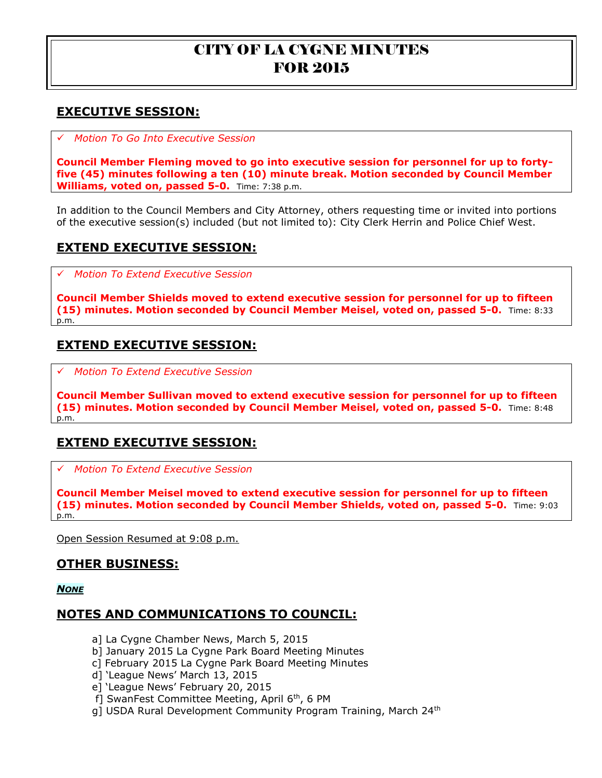# **EXECUTIVE SESSION:**

*Motion To Go Into Executive Session*

**Council Member Fleming moved to go into executive session for personnel for up to fortyfive (45) minutes following a ten (10) minute break. Motion seconded by Council Member Williams, voted on, passed 5-0.** Time: 7:38 p.m.

In addition to the Council Members and City Attorney, others requesting time or invited into portions of the executive session(s) included (but not limited to): City Clerk Herrin and Police Chief West.

# **EXTEND EXECUTIVE SESSION:**

*Motion To Extend Executive Session*

**Council Member Shields moved to extend executive session for personnel for up to fifteen (15) minutes. Motion seconded by Council Member Meisel, voted on, passed 5-0.** Time: 8:33 p.m.

# **EXTEND EXECUTIVE SESSION:**

*Motion To Extend Executive Session*

**Council Member Sullivan moved to extend executive session for personnel for up to fifteen (15) minutes. Motion seconded by Council Member Meisel, voted on, passed 5-0.** Time: 8:48 p.m.

# **EXTEND EXECUTIVE SESSION:**

*Motion To Extend Executive Session*

**Council Member Meisel moved to extend executive session for personnel for up to fifteen (15) minutes. Motion seconded by Council Member Shields, voted on, passed 5-0.** Time: 9:03 p.m.

Open Session Resumed at 9:08 p.m.

## **OTHER BUSINESS:**

*NONE*

# **NOTES AND COMMUNICATIONS TO COUNCIL:**

- a] La Cygne Chamber News, March 5, 2015
- b] January 2015 La Cygne Park Board Meeting Minutes
- c] February 2015 La Cygne Park Board Meeting Minutes
- d] 'League News' March 13, 2015
- e] 'League News' February 20, 2015
- f] SwanFest Committee Meeting, April 6<sup>th</sup>, 6 PM
- g] USDA Rural Development Community Program Training, March 24<sup>th</sup>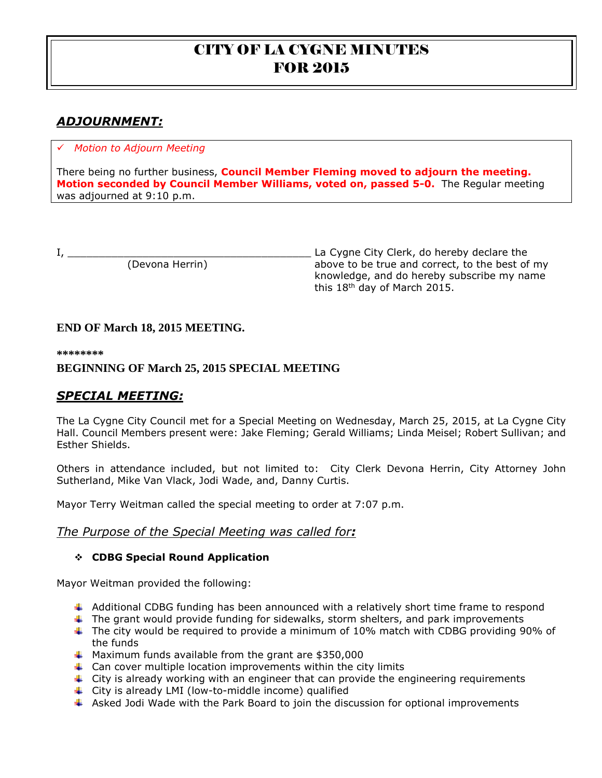# *ADJOURNMENT:*

## *Motion to Adjourn Meeting*

There being no further business, **Council Member Fleming moved to adjourn the meeting. Motion seconded by Council Member Williams, voted on, passed 5-0.** The Regular meeting was adjourned at 9:10 p.m.

I, \_\_\_\_\_\_\_\_\_\_\_\_\_\_\_\_\_\_\_\_\_\_\_\_\_\_\_\_\_\_\_\_\_\_\_\_\_\_\_ La Cygne City Clerk, do hereby declare the above to be true and correct, to the best of my knowledge, and do hereby subscribe my name this 18th day of March 2015.

## **END OF March 18, 2015 MEETING.**

**\*\*\*\*\*\*\*\***

## **BEGINNING OF March 25, 2015 SPECIAL MEETING**

# *SPECIAL MEETING:*

The La Cygne City Council met for a Special Meeting on Wednesday, March 25, 2015, at La Cygne City Hall. Council Members present were: Jake Fleming; Gerald Williams; Linda Meisel; Robert Sullivan; and Esther Shields.

Others in attendance included, but not limited to: City Clerk Devona Herrin, City Attorney John Sutherland, Mike Van Vlack, Jodi Wade, and, Danny Curtis.

Mayor Terry Weitman called the special meeting to order at 7:07 p.m.

### *The Purpose of the Special Meeting was called for:*

### **CDBG Special Round Application**

Mayor Weitman provided the following:

- $\ddot{\phantom{1}}$  Additional CDBG funding has been announced with a relatively short time frame to respond
- $\ddot{\phantom{1}}$  The grant would provide funding for sidewalks, storm shelters, and park improvements
- $\ddot{\phantom{1}}$  The city would be required to provide a minimum of 10% match with CDBG providing 90% of the funds
- $\textcolor{red}{\textbf{4}}$  Maximum funds available from the grant are \$350,000
- $\downarrow$  Can cover multiple location improvements within the city limits
- $\ddot{\phantom{1}}$  City is already working with an engineer that can provide the engineering requirements
- City is already LMI (low-to-middle income) qualified
- $\overline{+}$  Asked Jodi Wade with the Park Board to join the discussion for optional improvements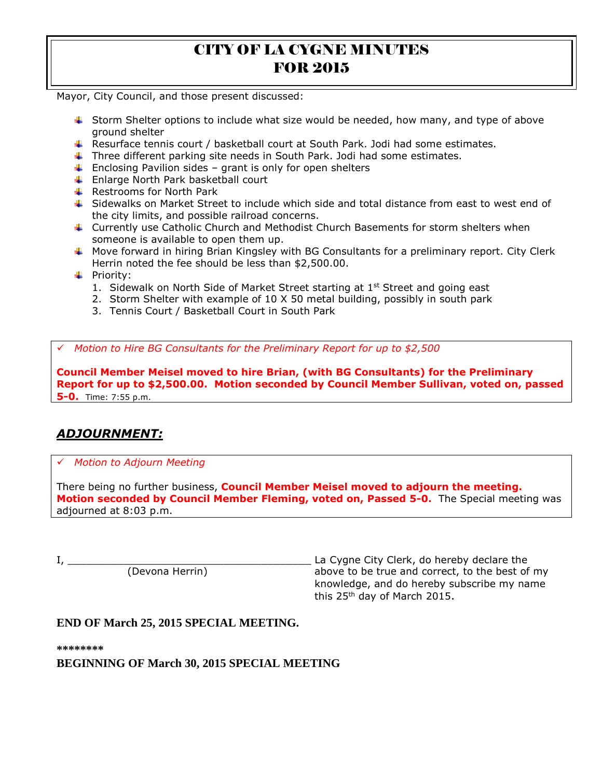Mayor, City Council, and those present discussed:

- Storm Shelter options to include what size would be needed, how many, and type of above ground shelter
- Resurface tennis court / basketball court at South Park. Jodi had some estimates.
- Three different parking site needs in South Park. Jodi had some estimates.
- $\ddot{+}$  Enclosing Pavilion sides grant is only for open shelters
- **Enlarge North Park basketball court**
- $\leftarrow$  Restrooms for North Park
- $\ddot{\bullet}$  Sidewalks on Market Street to include which side and total distance from east to west end of the city limits, and possible railroad concerns.
- Currently use Catholic Church and Methodist Church Basements for storm shelters when someone is available to open them up.
- $\ddot{\phantom{1}}$  Move forward in hiring Brian Kingsley with BG Consultants for a preliminary report. City Clerk Herrin noted the fee should be less than \$2,500.00.
- **+** Priority:
	- 1. Sidewalk on North Side of Market Street starting at  $1<sup>st</sup>$  Street and going east
	- 2. Storm Shelter with example of 10 X 50 metal building, possibly in south park
	- 3. Tennis Court / Basketball Court in South Park

*Motion to Hire BG Consultants for the Preliminary Report for up to \$2,500*

**Council Member Meisel moved to hire Brian, (with BG Consultants) for the Preliminary Report for up to \$2,500.00. Motion seconded by Council Member Sullivan, voted on, passed 5-0.** Time: 7:55 p.m.

# *ADJOURNMENT:*

### *Motion to Adjourn Meeting*

There being no further business, **Council Member Meisel moved to adjourn the meeting. Motion seconded by Council Member Fleming, voted on, Passed 5-0.** The Special meeting was adjourned at 8:03 p.m.

I, \_\_\_\_\_\_\_\_\_\_\_\_\_\_\_\_\_\_\_\_\_\_\_\_\_\_\_\_\_\_\_\_\_\_\_\_\_\_\_ La Cygne City Clerk, do hereby declare the (Devona Herrin) above to be true and correct, to the best of my knowledge, and do hereby subscribe my name this 25th day of March 2015.

### **END OF March 25, 2015 SPECIAL MEETING.**

**\*\*\*\*\*\*\*\***

**BEGINNING OF March 30, 2015 SPECIAL MEETING**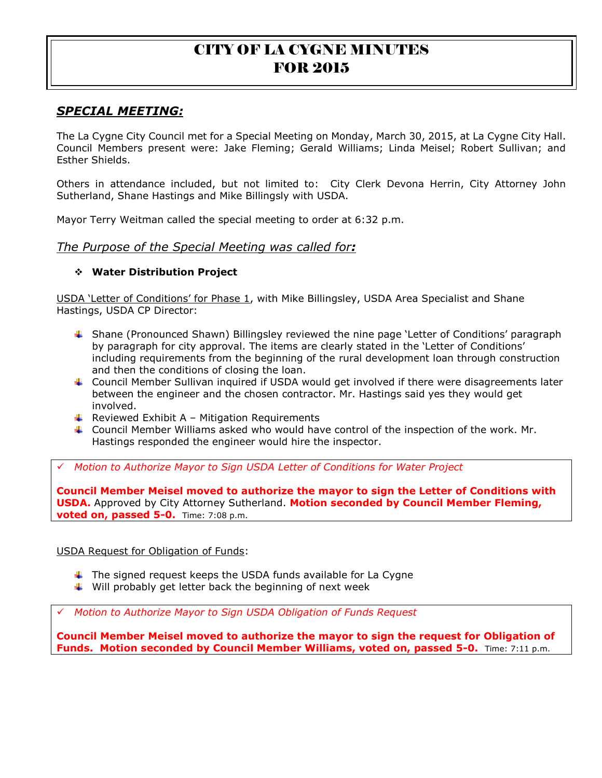# *SPECIAL MEETING:*

The La Cygne City Council met for a Special Meeting on Monday, March 30, 2015, at La Cygne City Hall. Council Members present were: Jake Fleming; Gerald Williams; Linda Meisel; Robert Sullivan; and Esther Shields.

Others in attendance included, but not limited to: City Clerk Devona Herrin, City Attorney John Sutherland, Shane Hastings and Mike Billingsly with USDA.

Mayor Terry Weitman called the special meeting to order at 6:32 p.m.

### *The Purpose of the Special Meeting was called for:*

### **Water Distribution Project**

USDA 'Letter of Conditions' for Phase 1, with Mike Billingsley, USDA Area Specialist and Shane Hastings, USDA CP Director:

- Shane (Pronounced Shawn) Billingsley reviewed the nine page 'Letter of Conditions' paragraph by paragraph for city approval. The items are clearly stated in the 'Letter of Conditions' including requirements from the beginning of the rural development loan through construction and then the conditions of closing the loan.
- Council Member Sullivan inquired if USDA would get involved if there were disagreements later between the engineer and the chosen contractor. Mr. Hastings said yes they would get involved.
- $\bigstar$  Reviewed Exhibit A Mitigation Requirements
- Council Member Williams asked who would have control of the inspection of the work. Mr. Hastings responded the engineer would hire the inspector.

*Motion to Authorize Mayor to Sign USDA Letter of Conditions for Water Project*

**Council Member Meisel moved to authorize the mayor to sign the Letter of Conditions with USDA.** Approved by City Attorney Sutherland. **Motion seconded by Council Member Fleming, voted on, passed 5-0.** Time: 7:08 p.m.

USDA Request for Obligation of Funds:

- $\ddot$  The signed request keeps the USDA funds available for La Cygne
- $\downarrow$  Will probably get letter back the beginning of next week

*Motion to Authorize Mayor to Sign USDA Obligation of Funds Request*

**Council Member Meisel moved to authorize the mayor to sign the request for Obligation of Funds. Motion seconded by Council Member Williams, voted on, passed 5-0.** Time: 7:11 p.m.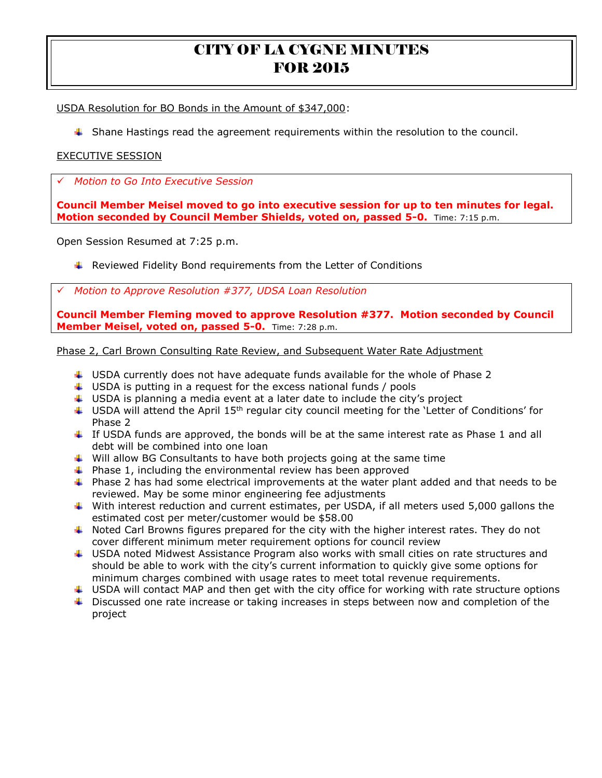USDA Resolution for BO Bonds in the Amount of \$347,000:

 $\ddot{\phantom{1}}$  Shane Hastings read the agreement requirements within the resolution to the council.

### EXECUTIVE SESSION

*Motion to Go Into Executive Session* 

**Council Member Meisel moved to go into executive session for up to ten minutes for legal. Motion seconded by Council Member Shields, voted on, passed 5-0.** Time: 7:15 p.m.

Open Session Resumed at 7:25 p.m.

 $\ddot{\phantom{1}}$  Reviewed Fidelity Bond requirements from the Letter of Conditions

*Motion to Approve Resolution #377, UDSA Loan Resolution*

**Council Member Fleming moved to approve Resolution #377. Motion seconded by Council Member Meisel, voted on, passed 5-0.** Time: 7:28 p.m.

Phase 2, Carl Brown Consulting Rate Review, and Subsequent Water Rate Adjustment

- $\downarrow$  USDA currently does not have adequate funds available for the whole of Phase 2
- $\ddot{\phantom{1}}$  USDA is putting in a request for the excess national funds / pools
- $\downarrow$  USDA is planning a media event at a later date to include the city's project
- $\ddot{\phantom{1}}$  USDA will attend the April 15<sup>th</sup> regular city council meeting for the 'Letter of Conditions' for Phase 2
- $\downarrow$  If USDA funds are approved, the bonds will be at the same interest rate as Phase 1 and all debt will be combined into one loan
- $\ddot{\bullet}$  Will allow BG Consultants to have both projects going at the same time
- $\ddot{+}$  Phase 1, including the environmental review has been approved
- $\ddotmark$  Phase 2 has had some electrical improvements at the water plant added and that needs to be reviewed. May be some minor engineering fee adjustments
- With interest reduction and current estimates, per USDA, if all meters used 5,000 gallons the estimated cost per meter/customer would be \$58.00
- $\ddotmark$  Noted Carl Browns figures prepared for the city with the higher interest rates. They do not cover different minimum meter requirement options for council review
- USDA noted Midwest Assistance Program also works with small cities on rate structures and should be able to work with the city's current information to quickly give some options for minimum charges combined with usage rates to meet total revenue requirements.
- $\ddotplus$  USDA will contact MAP and then get with the city office for working with rate structure options
- **U** Discussed one rate increase or taking increases in steps between now and completion of the project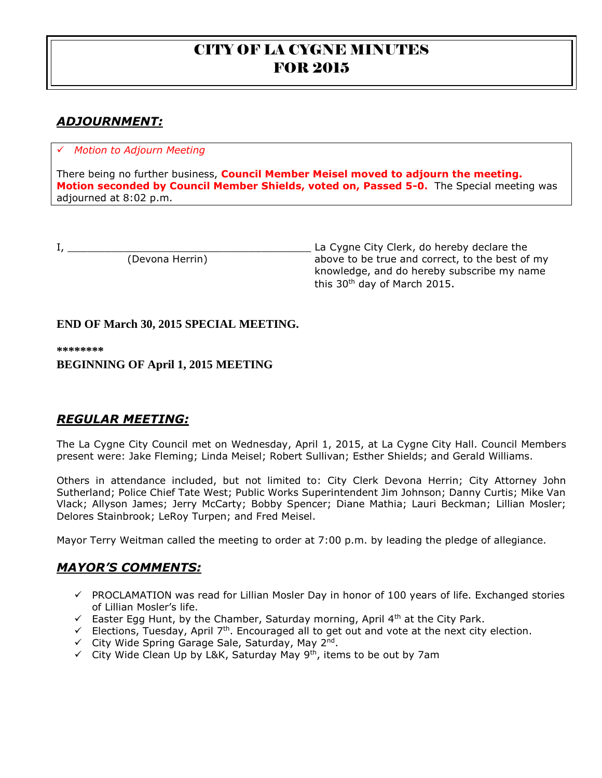# *ADJOURNMENT:*

### *Motion to Adjourn Meeting*

There being no further business, **Council Member Meisel moved to adjourn the meeting. Motion seconded by Council Member Shields, voted on, Passed 5-0.** The Special meeting was adjourned at 8:02 p.m.

I, \_\_\_\_\_\_\_\_\_\_\_\_\_\_\_\_\_\_\_\_\_\_\_\_\_\_\_\_\_\_\_\_\_\_\_\_\_\_\_ La Cygne City Clerk, do hereby declare the (Devona Herrin) above to be true and correct, to the best of my knowledge, and do hereby subscribe my name this 30th day of March 2015.

## **END OF March 30, 2015 SPECIAL MEETING.**

**\*\*\*\*\*\*\*\***

## **BEGINNING OF April 1, 2015 MEETING**

# *REGULAR MEETING:*

The La Cygne City Council met on Wednesday, April 1, 2015, at La Cygne City Hall. Council Members present were: Jake Fleming; Linda Meisel; Robert Sullivan; Esther Shields; and Gerald Williams.

Others in attendance included, but not limited to: City Clerk Devona Herrin; City Attorney John Sutherland; Police Chief Tate West; Public Works Superintendent Jim Johnson; Danny Curtis; Mike Van Vlack; Allyson James; Jerry McCarty; Bobby Spencer; Diane Mathia; Lauri Beckman; Lillian Mosler; Delores Stainbrook; LeRoy Turpen; and Fred Meisel.

Mayor Terry Weitman called the meeting to order at 7:00 p.m. by leading the pledge of allegiance.

## *MAYOR'S COMMENTS:*

- $\checkmark$  PROCLAMATION was read for Lillian Mosler Day in honor of 100 years of life. Exchanged stories of Lillian Mosler's life.
- Easter Egg Hunt, by the Chamber, Saturday morning, April  $4<sup>th</sup>$  at the City Park.
- Elections, Tuesday, April  $7<sup>th</sup>$ . Encouraged all to get out and vote at the next city election.
- $\checkmark$  City Wide Spring Garage Sale, Saturday, May 2<sup>nd</sup>.
- $\checkmark$  City Wide Clean Up by L&K, Saturday May 9<sup>th</sup>, items to be out by 7am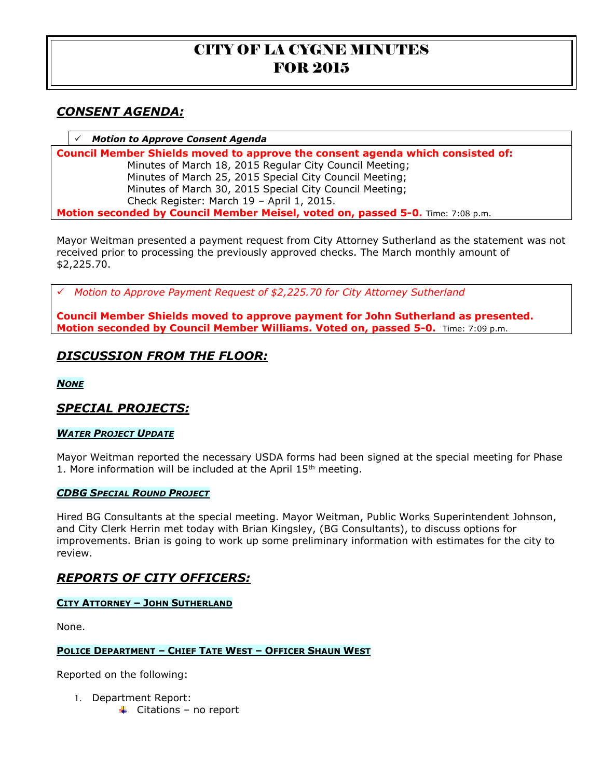# *CONSENT AGENDA:*

*Motion to Approve Consent Agenda*

**Council Member Shields moved to approve the consent agenda which consisted of:** Minutes of March 18, 2015 Regular City Council Meeting; Minutes of March 25, 2015 Special City Council Meeting; Minutes of March 30, 2015 Special City Council Meeting; Check Register: March 19 – April 1, 2015. **Motion seconded by Council Member Meisel, voted on, passed 5-0.** Time: 7:08 p.m.

Mayor Weitman presented a payment request from City Attorney Sutherland as the statement was not received prior to processing the previously approved checks. The March monthly amount of \$2,225.70.

*Motion to Approve Payment Request of \$2,225.70 for City Attorney Sutherland* 

**Council Member Shields moved to approve payment for John Sutherland as presented. Motion seconded by Council Member Williams. Voted on, passed 5-0.** Time: 7:09 p.m.

# *DISCUSSION FROM THE FLOOR:*

*NONE*

## *SPECIAL PROJECTS:*

### *WATER PROJECT UPDATE*

Mayor Weitman reported the necessary USDA forms had been signed at the special meeting for Phase 1. More information will be included at the April  $15<sup>th</sup>$  meeting.

#### *CDBG SPECIAL ROUND PROJECT*

Hired BG Consultants at the special meeting. Mayor Weitman, Public Works Superintendent Johnson, and City Clerk Herrin met today with Brian Kingsley, (BG Consultants), to discuss options for improvements. Brian is going to work up some preliminary information with estimates for the city to review.

# *REPORTS OF CITY OFFICERS:*

### **CITY ATTORNEY – JOHN SUTHERLAND**

None.

#### **POLICE DEPARTMENT – CHIEF TATE WEST – OFFICER SHAUN WEST**

Reported on the following:

- 1. Department Report:
	- $\triangleq$  Citations no report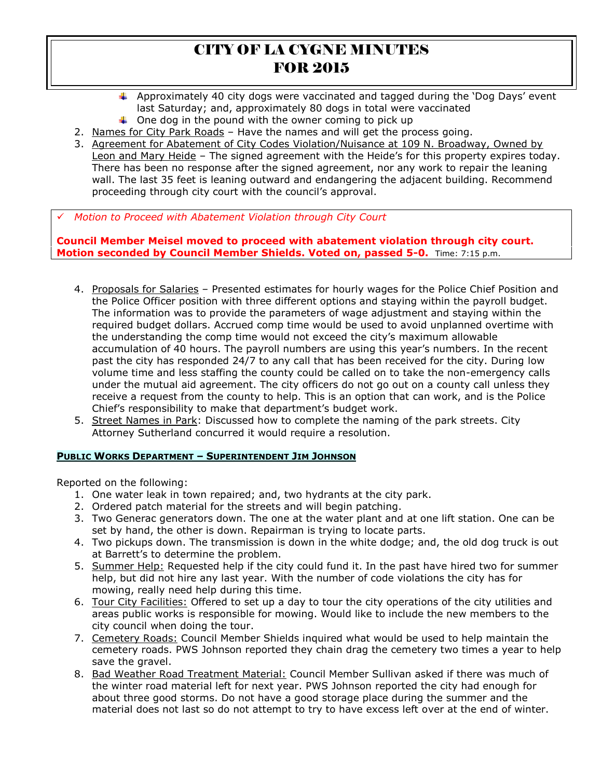- **4** Approximately 40 city dogs were vaccinated and tagged during the 'Dog Days' event last Saturday; and, approximately 80 dogs in total were vaccinated
- $\downarrow$  One dog in the pound with the owner coming to pick up
- 2. Names for City Park Roads Have the names and will get the process going.
- 3. Agreement for Abatement of City Codes Violation/Nuisance at 109 N. Broadway, Owned by Leon and Mary Heide - The signed agreement with the Heide's for this property expires today. There has been no response after the signed agreement, nor any work to repair the leaning wall. The last 35 feet is leaning outward and endangering the adjacent building. Recommend proceeding through city court with the council's approval.

*Motion to Proceed with Abatement Violation through City Court* 

**Council Member Meisel moved to proceed with abatement violation through city court. Motion seconded by Council Member Shields. Voted on, passed 5-0.** Time: 7:15 p.m.

- 4. Proposals for Salaries Presented estimates for hourly wages for the Police Chief Position and the Police Officer position with three different options and staying within the payroll budget. The information was to provide the parameters of wage adjustment and staying within the required budget dollars. Accrued comp time would be used to avoid unplanned overtime with the understanding the comp time would not exceed the city's maximum allowable accumulation of 40 hours. The payroll numbers are using this year's numbers. In the recent past the city has responded 24/7 to any call that has been received for the city. During low volume time and less staffing the county could be called on to take the non-emergency calls under the mutual aid agreement. The city officers do not go out on a county call unless they receive a request from the county to help. This is an option that can work, and is the Police Chief's responsibility to make that department's budget work.
- 5. Street Names in Park: Discussed how to complete the naming of the park streets. City Attorney Sutherland concurred it would require a resolution.

#### **PUBLIC WORKS DEPARTMENT – SUPERINTENDENT JIM JOHNSON**

Reported on the following:

- 1. One water leak in town repaired; and, two hydrants at the city park.
- 2. Ordered patch material for the streets and will begin patching.
- 3. Two Generac generators down. The one at the water plant and at one lift station. One can be set by hand, the other is down. Repairman is trying to locate parts.
- 4. Two pickups down. The transmission is down in the white dodge; and, the old dog truck is out at Barrett's to determine the problem.
- 5. Summer Help: Requested help if the city could fund it. In the past have hired two for summer help, but did not hire any last year. With the number of code violations the city has for mowing, really need help during this time.
- 6. Tour City Facilities: Offered to set up a day to tour the city operations of the city utilities and areas public works is responsible for mowing. Would like to include the new members to the city council when doing the tour.
- 7. Cemetery Roads: Council Member Shields inquired what would be used to help maintain the cemetery roads. PWS Johnson reported they chain drag the cemetery two times a year to help save the gravel.
- 8. Bad Weather Road Treatment Material: Council Member Sullivan asked if there was much of the winter road material left for next year. PWS Johnson reported the city had enough for about three good storms. Do not have a good storage place during the summer and the material does not last so do not attempt to try to have excess left over at the end of winter.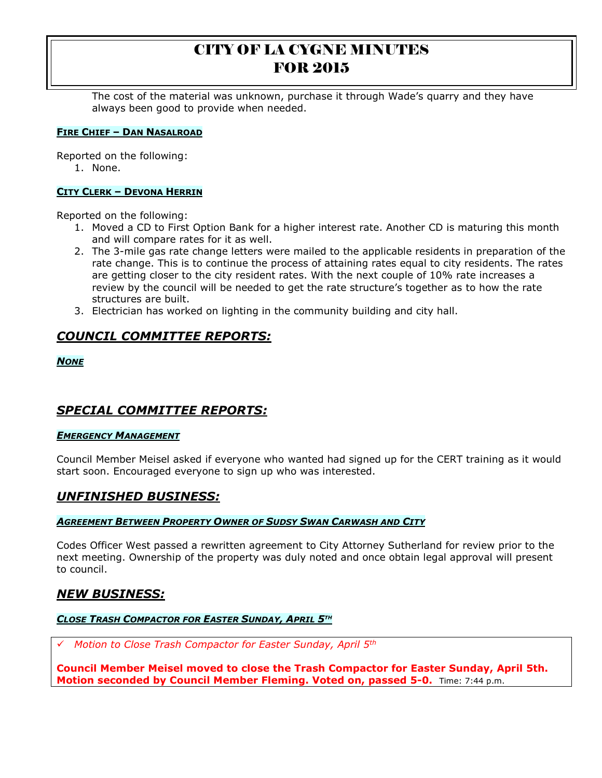The cost of the material was unknown, purchase it through Wade's quarry and they have always been good to provide when needed.

#### **FIRE CHIEF – DAN NASALROAD**

Reported on the following:

1. None.

## **CITY CLERK – DEVONA HERRIN**

Reported on the following:

- 1. Moved a CD to First Option Bank for a higher interest rate. Another CD is maturing this month and will compare rates for it as well.
- 2. The 3-mile gas rate change letters were mailed to the applicable residents in preparation of the rate change. This is to continue the process of attaining rates equal to city residents. The rates are getting closer to the city resident rates. With the next couple of 10% rate increases a review by the council will be needed to get the rate structure's together as to how the rate structures are built.
- 3. Electrician has worked on lighting in the community building and city hall.

# *COUNCIL COMMITTEE REPORTS:*

*NONE*

# *SPECIAL COMMITTEE REPORTS:*

#### *EMERGENCY MANAGEMENT*

Council Member Meisel asked if everyone who wanted had signed up for the CERT training as it would start soon. Encouraged everyone to sign up who was interested.

# *UNFINISHED BUSINESS:*

#### *AGREEMENT BETWEEN PROPERTY OWNER OF SUDSY SWAN CARWASH AND CITY*

Codes Officer West passed a rewritten agreement to City Attorney Sutherland for review prior to the next meeting. Ownership of the property was duly noted and once obtain legal approval will present to council.

## *NEW BUSINESS:*

## *CLOSE TRASH COMPACTOR FOR EASTER SUNDAY, APRIL 5TH*

*Motion to Close Trash Compactor for Easter Sunday, April 5th* 

**Council Member Meisel moved to close the Trash Compactor for Easter Sunday, April 5th. Motion seconded by Council Member Fleming. Voted on, passed 5-0.** Time: 7:44 p.m.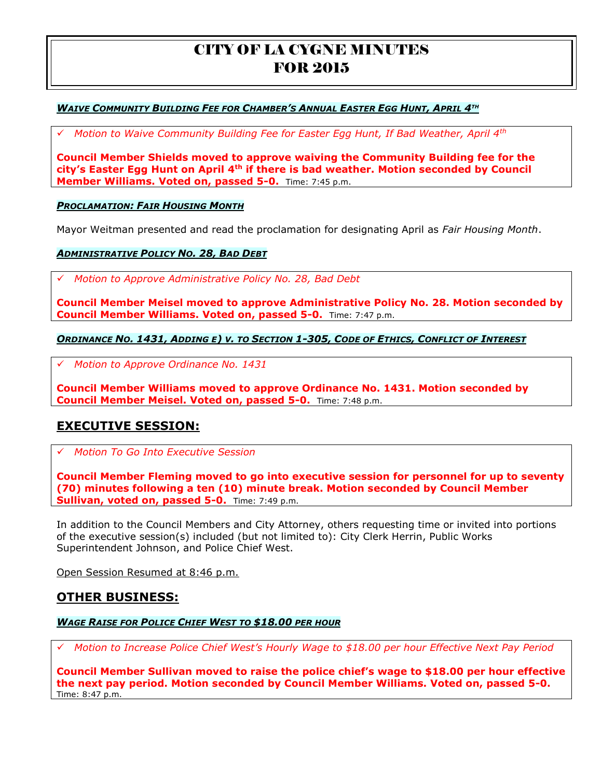### **WAIVE COMMUNITY BUILDING FEE FOR CHAMBER'S ANNUAL EASTER EGG HUNT, APRIL 4TH**

*Motion to Waive Community Building Fee for Easter Egg Hunt, If Bad Weather, April 4th* 

**Council Member Shields moved to approve waiving the Community Building fee for the city's Easter Egg Hunt on April 4th if there is bad weather. Motion seconded by Council Member Williams. Voted on, passed 5-0.** Time: 7:45 p.m.

#### *PROCLAMATION: FAIR HOUSING MONTH*

Mayor Weitman presented and read the proclamation for designating April as *Fair Housing Month*.

#### *ADMINISTRATIVE POLICY NO. 28, BAD DEBT*

*Motion to Approve Administrative Policy No. 28, Bad Debt* 

**Council Member Meisel moved to approve Administrative Policy No. 28. Motion seconded by Council Member Williams. Voted on, passed 5-0.** Time: 7:47 p.m.

#### ORDINANCE NO. 1431, ADDING E) V. TO SECTION 1-305, CODE OF ETHICS, CONFLICT OF INTEREST

*Motion to Approve Ordinance No. 1431* 

**Council Member Williams moved to approve Ordinance No. 1431. Motion seconded by Council Member Meisel. Voted on, passed 5-0.** Time: 7:48 p.m.

## **EXECUTIVE SESSION:**

*Motion To Go Into Executive Session*

**Council Member Fleming moved to go into executive session for personnel for up to seventy (70) minutes following a ten (10) minute break. Motion seconded by Council Member Sullivan, voted on, passed 5-0.** Time: 7:49 p.m.

In addition to the Council Members and City Attorney, others requesting time or invited into portions of the executive session(s) included (but not limited to): City Clerk Herrin, Public Works Superintendent Johnson, and Police Chief West.

Open Session Resumed at 8:46 p.m.

### **OTHER BUSINESS:**

#### *WAGE RAISE FOR POLICE CHIEF WEST TO \$18.00 PER HOUR*

*Motion to Increase Police Chief West's Hourly Wage to \$18.00 per hour Effective Next Pay Period* 

**Council Member Sullivan moved to raise the police chief's wage to \$18.00 per hour effective the next pay period. Motion seconded by Council Member Williams. Voted on, passed 5-0.**  Time: 8:47 p.m.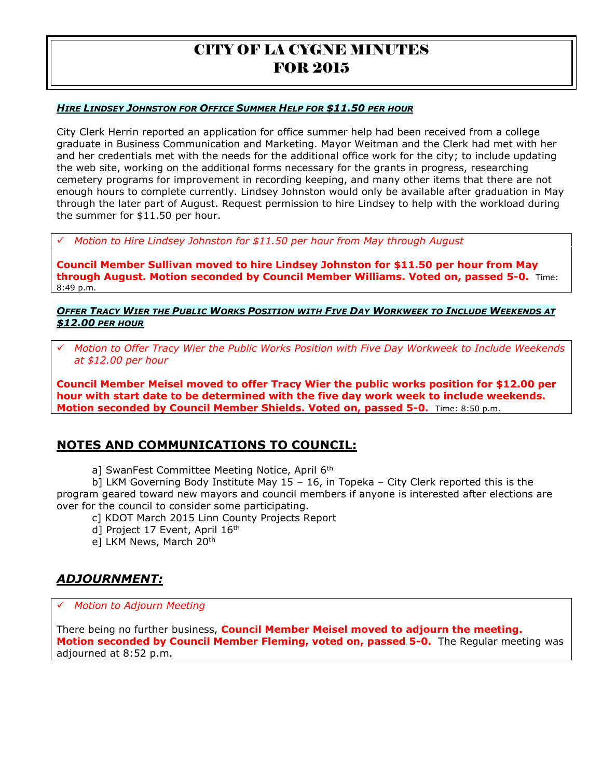#### *HIRE LINDSEY JOHNSTON FOR OFFICE SUMMER HELP FOR \$11.50 PER HOUR*

City Clerk Herrin reported an application for office summer help had been received from a college graduate in Business Communication and Marketing. Mayor Weitman and the Clerk had met with her and her credentials met with the needs for the additional office work for the city; to include updating the web site, working on the additional forms necessary for the grants in progress, researching cemetery programs for improvement in recording keeping, and many other items that there are not enough hours to complete currently. Lindsey Johnston would only be available after graduation in May through the later part of August. Request permission to hire Lindsey to help with the workload during the summer for \$11.50 per hour.

*Motion to Hire Lindsey Johnston for \$11.50 per hour from May through August* 

**Council Member Sullivan moved to hire Lindsey Johnston for \$11.50 per hour from May through August. Motion seconded by Council Member Williams. Voted on, passed 5-0.** Time: 8:49 p.m.

**OFFER TRACY WIER THE PUBLIC WORKS POSITION WITH FIVE DAY WORKWEEK TO INCLUDE WEEKENDS AT** *\$12.00 PER HOUR*

 *Motion to Offer Tracy Wier the Public Works Position with Five Day Workweek to Include Weekends at \$12.00 per hour* 

**Council Member Meisel moved to offer Tracy Wier the public works position for \$12.00 per hour with start date to be determined with the five day work week to include weekends. Motion seconded by Council Member Shields. Voted on, passed 5-0.** Time: 8:50 p.m.

# **NOTES AND COMMUNICATIONS TO COUNCIL:**

a] SwanFest Committee Meeting Notice, April 6<sup>th</sup>

b] LKM Governing Body Institute May 15 – 16, in Topeka – City Clerk reported this is the program geared toward new mayors and council members if anyone is interested after elections are over for the council to consider some participating.

c] KDOT March 2015 Linn County Projects Report

- d] Project 17 Event, April 16<sup>th</sup>
- e] LKM News, March 20<sup>th</sup>

# *ADJOURNMENT:*

*Motion to Adjourn Meeting*

There being no further business, **Council Member Meisel moved to adjourn the meeting. Motion seconded by Council Member Fleming, voted on, passed 5-0.** The Regular meeting was adjourned at 8:52 p.m.